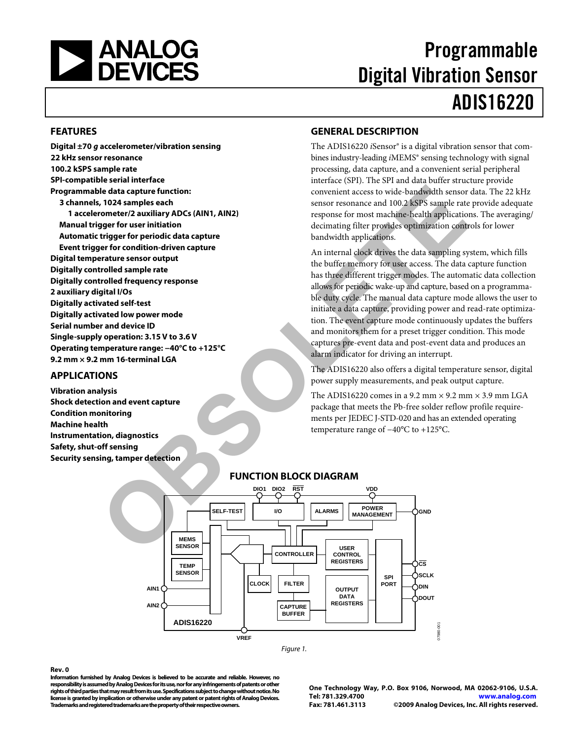

# Programmable Digital Vibration Sensor ADIS16220

### <span id="page-0-0"></span>**FEATURES**

**Digital ±70 g accelerometer/vibration sensing 22 kHz sensor resonance 100.2 kSPS sample rate SPI-compatible serial interface Programmable data capture function: 3 channels, 1024 samples each 1 accelerometer/2 auxiliary ADCs (AIN1, AIN2) Manual trigger for user initiation Automatic trigger for periodic data capture Event trigger for condition-driven capture Digital temperature sensor output Digitally controlled sample rate Digitally controlled frequency response 2 auxiliary digital I/Os Digitally activated self-test Digitally activated low power mode Serial number and device ID Single-supply operation: 3.15 V to 3.6 V Operating temperature range: −40°C to +125°C 9.2 mm × 9.2 mm 16-terminal LGA EXAMPLE SECURE (1997)**<br> **OBSA SINGLE AND SEARCH (1998)**<br> **OBSA SINGLE AND SEARCH (1998)**<br> **OBSA SINGLE AND SEARCH (1998)**<br> **OBSA SINGLE AND SEARCH (1998)**<br> **OBSA SINGLE AND SEARCH (1998)**<br> **OBSA SINGLE AND SEARCH (1998)**<br>

### <span id="page-0-1"></span>**APPLICATIONS**

**Vibration analysis Shock detection and event capture Condition monitoring Machine health Instrumentation, diagnostics Safety, shut-off sensing Security sensing, tamper detection** 

#### <span id="page-0-2"></span>**GENERAL DESCRIPTION**

The ADIS16220 *i*Sensor® is a digital vibration sensor that combines industry-leading *i*MEMS® sensing technology with signal processing, data capture, and a convenient serial peripheral interface (SPI). The SPI and data buffer structure provide convenient access to wide-bandwidth sensor data. The 22 kHz sensor resonance and 100.2 kSPS sample rate provide adequate response for most machine-health applications. The averaging/ decimating filter provides optimization controls for lower bandwidth applications.

An internal clock drives the data sampling system, which fills the buffer memory for user access. The data capture function has three different trigger modes. The automatic data collection allows for periodic wake-up and capture, based on a programmable duty cycle. The manual data capture mode allows the user to initiate a data capture, providing power and read-rate optimization. The event capture mode continuously updates the buffers and monitors them for a preset trigger condition. This mode captures pre-event data and post-event data and produces an alarm indicator for driving an interrupt.

The ADIS16220 also offers a digital temperature sensor, digital power supply measurements, and peak output capture.

The ADIS16220 comes in a 9.2 mm  $\times$  9.2 mm  $\times$  3.9 mm LGA package that meets the Pb-free solder reflow profile requirements per JEDEC J-STD-020 and has an extended operating temperature range of −40°C to +125°C.

<span id="page-0-3"></span>

#### **FUNCTION BLOCK DIAGRAM**

#### **Rev. 0**

**Information furnished by Analog Devices is believed to be accurate and reliable. However, no responsibility is assumed by Analog Devices for its use, nor for any infringements of patents or other rights of third parties that may result from its use. Specifications subject to change without notice. No license is granted by implication or otherwise under any patent or patent rights of Analog Devices. Trademarks and registered trademarks are the property of their respective owners.** 

**One Technology Way, P.O. Box 9106, Norwood, MA 02062-9106, U.S.A. Tel: 781.329.4700 [www.analog.com](http://www.analog.com/) Fax: 781.461.3113 ©2009 Analog Devices, Inc. All rights reserved.**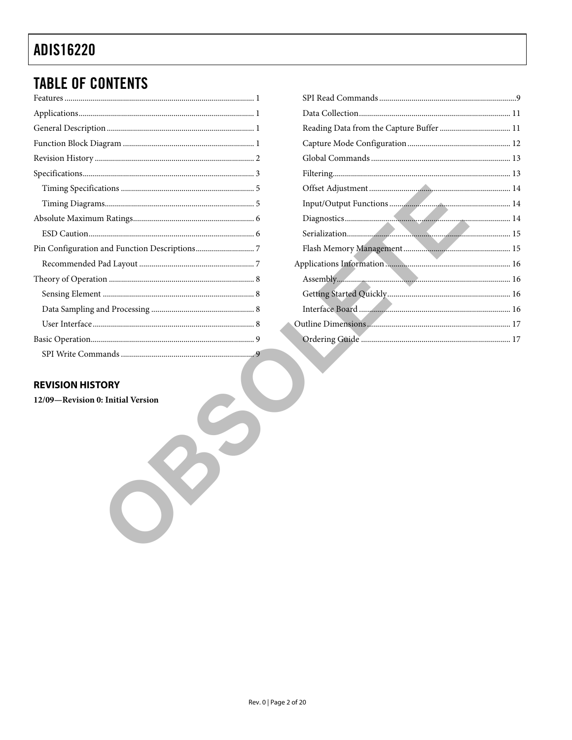## **TABLE OF CONTENTS**

### <span id="page-1-0"></span>**REVISION HISTORY**

12/09-Revision 0: Initial Version

 $\sum$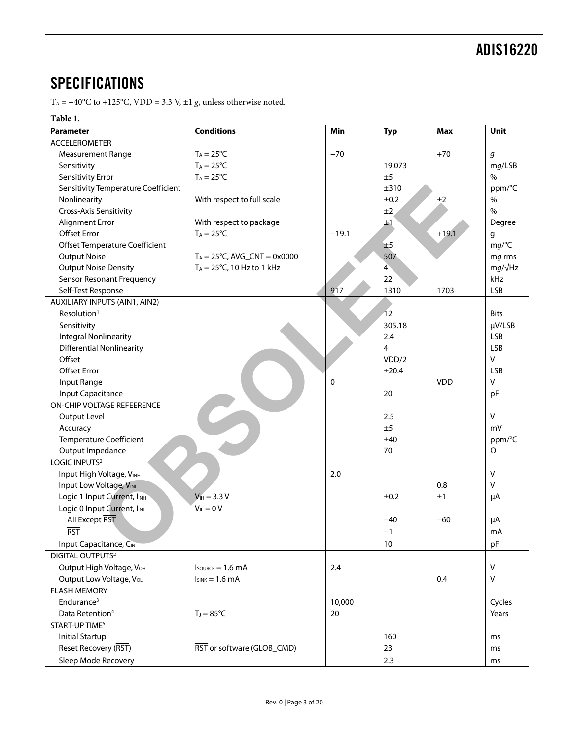## <span id="page-2-0"></span>**SPECIFICATIONS**

TA = −40°C to +125°C, VDD = 3.3 V, ±1 *g*, unless otherwise noted.

### **Table 1.**

| <b>Parameter</b>                        | <b>Conditions</b>                      | Min     | <b>Typ</b>     | <b>Max</b> | Unit           |
|-----------------------------------------|----------------------------------------|---------|----------------|------------|----------------|
| <b>ACCELEROMETER</b>                    |                                        |         |                |            |                |
| <b>Measurement Range</b>                | $T_A = 25^{\circ}C$                    | $-70$   |                | $+70$      | g              |
| Sensitivity                             | $T_A = 25^{\circ}C$                    |         | 19.073         |            | mg/LSB         |
| Sensitivity Error                       | $T_A = 25^{\circ}C$                    |         | ±5             |            | $\%$           |
| Sensitivity Temperature Coefficient     |                                        |         | ±310           |            | ppm/°C         |
| Nonlinearity                            | With respect to full scale             |         | ±0.2           | ±2         | $\%$           |
| <b>Cross-Axis Sensitivity</b>           |                                        |         | ±2             |            | $\%$           |
| Alignment Error                         | With respect to package                |         | $\pm 1$        |            | Degree         |
| <b>Offset Error</b>                     | $T_A = 25^{\circ}C$                    | $-19.1$ |                | $+19.1$    | $\mathsf g$    |
| Offset Temperature Coefficient          |                                        |         | ±5             |            | mg/C           |
| <b>Output Noise</b>                     | $T_A = 25^{\circ}$ C, AVG_CNT = 0x0000 |         | 507            |            | mg rms         |
| <b>Output Noise Density</b>             | $T_A = 25^{\circ}$ C, 10 Hz to 1 kHz   |         | $\overline{4}$ |            | $mg/\sqrt{Hz}$ |
| Sensor Resonant Frequency               |                                        |         | 22             |            | kHz            |
| Self-Test Response                      |                                        | 917     | 1310           | 1703       | LSB            |
| AUXILIARY INPUTS (AIN1, AIN2)           |                                        |         |                |            |                |
| Resolution <sup>1</sup>                 |                                        |         | 12             |            | <b>Bits</b>    |
| Sensitivity                             |                                        |         | 305.18         |            | µV/LSB         |
| <b>Integral Nonlinearity</b>            |                                        |         | 2.4            |            | <b>LSB</b>     |
| <b>Differential Nonlinearity</b>        |                                        |         | 4              |            | <b>LSB</b>     |
| Offset                                  |                                        |         | VDD/2          |            | $\mathsf{V}$   |
| <b>Offset Error</b>                     |                                        |         | ±20.4          |            | <b>LSB</b>     |
| Input Range                             |                                        | 0       |                | <b>VDD</b> | $\vee$         |
| Input Capacitance                       |                                        |         | 20             |            | pF             |
| <b>ON-CHIP VOLTAGE REFEERENCE</b>       |                                        |         |                |            |                |
| Output Level                            |                                        |         | 2.5            |            | $\sf V$        |
| Accuracy                                |                                        |         | ±5             |            | mV             |
| <b>Temperature Coefficient</b>          |                                        |         | ±40            |            | ppm/°C         |
| Output Impedance                        |                                        |         | 70             |            | Ω              |
| LOGIC INPUTS <sup>2</sup>               |                                        |         |                |            |                |
| Input High Voltage, VINH                |                                        | 2.0     |                |            | $\mathsf{V}$   |
| Input Low Voltage, VINL                 |                                        |         |                | 0.8        | V              |
| Logic 1 Input Current, I <sub>INH</sub> | $V_{IH} = 3.3 V$                       |         | ±0.2           | ±1         | μA             |
| Logic 0 Input Current, IINL             | $V_{IL} = 0 V$                         |         |                |            |                |
| All Except RST                          |                                        |         | $-40$          | $-60$      | μA             |
| <b>RST</b>                              |                                        |         | $-1$           |            | mA             |
| Input Capacitance, CIN                  |                                        |         | $10\,$         |            | pF             |
| DIGITAL OUTPUTS <sup>2</sup>            |                                        |         |                |            |                |
| Output High Voltage, VOH                | $I_{\text{SOWRCE}} = 1.6 \text{ mA}$   | 2.4     |                |            | $\vee$         |
| Output Low Voltage, VoL                 | $I_{SINK} = 1.6 mA$                    |         |                | 0.4        | $\vee$         |
| <b>FLASH MEMORY</b>                     |                                        |         |                |            |                |
| Endurance <sup>3</sup>                  |                                        | 10,000  |                |            | Cycles         |
| Data Retention <sup>4</sup>             | $T_J = 85$ °C                          | 20      |                |            | Years          |
| START-UP TIME <sup>5</sup>              |                                        |         |                |            |                |
| <b>Initial Startup</b>                  |                                        |         | 160            |            | ms             |
|                                         |                                        |         |                |            |                |
| Reset Recovery (RST)                    | RST or software (GLOB_CMD)             |         | 23             |            | ms             |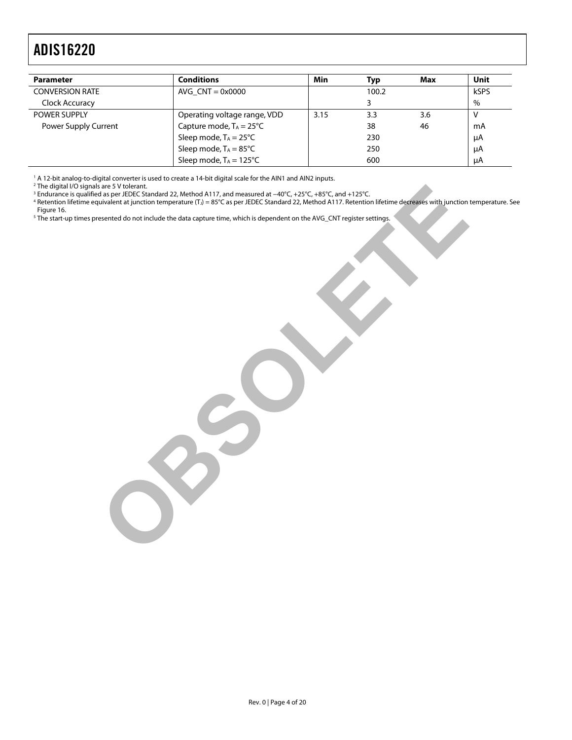<span id="page-3-0"></span>

| <b>Parameter</b>       | Conditions                             | Min  | Typ   | Max | Unit |
|------------------------|----------------------------------------|------|-------|-----|------|
| <b>CONVERSION RATE</b> | AVG $CNT = 0x0000$                     |      | 100.2 |     | kSPS |
| Clock Accuracy         |                                        |      |       |     | $\%$ |
| <b>POWER SUPPLY</b>    | Operating voltage range, VDD           | 3.15 | 3.3   | 3.6 |      |
| Power Supply Current   | Capture mode, $T_A = 25^{\circ}C$      |      | 38    | 46  | mA   |
|                        | Sleep mode, $T_A = 25^{\circ}C$<br>230 |      |       | μA  |      |
|                        | Sleep mode, $T_A = 85^{\circ}C$        | 250  |       |     | μA   |
|                        | Sleep mode, $T_A = 125^{\circ}C$       |      | 600   |     | μA   |

<sup>1</sup> A 12-bit analog-to-digital converter is used to create a 14-bit digital scale for the AIN1 and AIN2 inputs.<br><sup>2</sup> The digital I/O signals are 5 V tolerant.

<sup>3</sup> Endurance is qualified as per JEDEC Standard 22, Method A117, and measured at −40°C, +25°C, +85°C, and +125°C.<br><sup>4</sup> Retention lifetime equivalent at junction temperature (T.) = 85°C as per JEDEC Standard 22, Method A11 [Figure 16.](#page-14-2)  are Streaken and an alternative Trian and measured at  $-40^{\circ}$ C + 25°C, and + 1.25°C.<br>
Sharper, EDEC Sandard 22, Method A117, and measured at  $-40^{\circ}$ C + 25°C, and + 1.25°C.<br>
When the streaken of the data capture time, w

5 The start-up times presented do not include the data capture time, which is dependent on the AVG\_CNT register settings.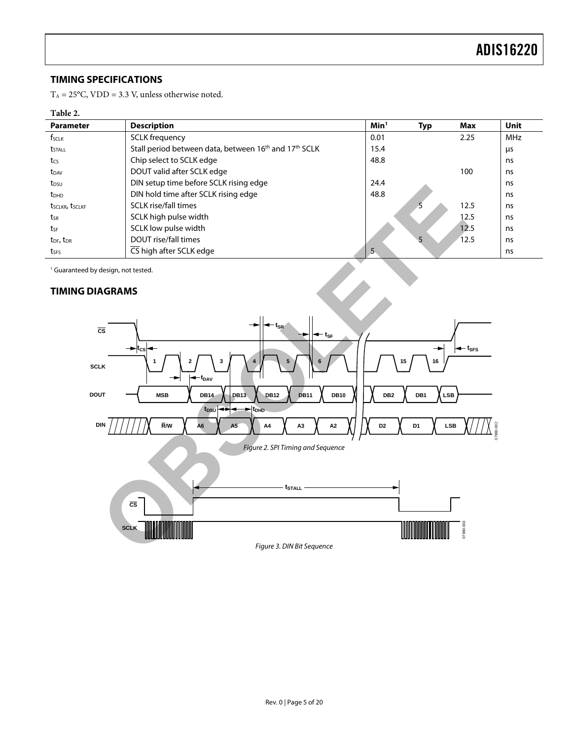## <span id="page-4-0"></span>**TIMING SPECIFICATIONS**

 $T_A = 25^{\circ}$ C, VDD = 3.3 V, unless otherwise noted.

#### **Table 2.**

| <b>Parameter</b>                  | <b>Description</b>                                                            | Min <sup>1</sup> | <b>Typ</b> | Max  | Unit       |
|-----------------------------------|-------------------------------------------------------------------------------|------------------|------------|------|------------|
| f <sub>sclk</sub>                 | <b>SCLK</b> frequency                                                         | 0.01             |            | 2.25 | <b>MHz</b> |
| <b>t</b> <sub>STALL</sub>         | Stall period between data, between 16 <sup>th</sup> and 17 <sup>th</sup> SCLK | 15.4             |            |      | μs         |
| $t_{\text{CS}}$                   | Chip select to SCLK edge                                                      | 48.8             |            |      | ns         |
| $t_{DAV}$                         | DOUT valid after SCLK edge                                                    |                  |            | 100  | ns         |
| t <sub>DSU</sub>                  | DIN setup time before SCLK rising edge                                        | 24.4             |            |      | ns         |
| $t_{DHD}$                         | DIN hold time after SCLK rising edge                                          | 48.8             |            |      | ns         |
| tsclkr, tsclkf                    | <b>SCLK</b> rise/fall times                                                   |                  |            | 12.5 | ns         |
| tsr                               | SCLK high pulse width                                                         |                  |            | 12.5 | ns         |
| tsF                               | SCLK low pulse width                                                          |                  |            | 12.5 | ns         |
| t <sub>DF</sub> , t <sub>DR</sub> | DOUT rise/fall times                                                          |                  | 5          | 12.5 | ns         |
| tses                              | CS high after SCLK edge                                                       | -5               |            |      | ns         |

<span id="page-4-1"></span><sup>1</sup> Guaranteed by design, not tested.

### **TIMING DIAGRAMS**



Figure 3. DIN Bit Sequence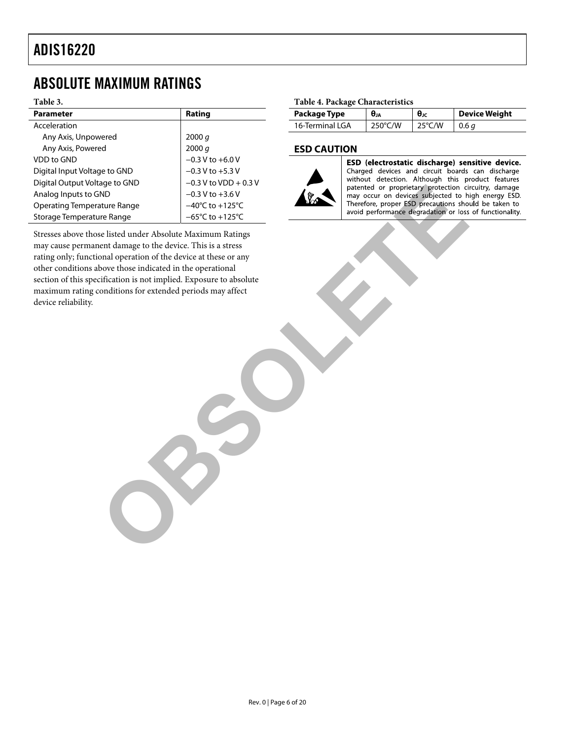## <span id="page-5-0"></span>ABSOLUTE MAXIMUM RATINGS

#### **Table 3.**

| <b>Parameter</b>                   | Rating                               |
|------------------------------------|--------------------------------------|
| Acceleration                       |                                      |
| Any Axis, Unpowered                | 2000 q                               |
| Any Axis, Powered                  | 2000 q                               |
| VDD to GND                         | $-0.3 V$ to $+6.0 V$                 |
| Digital Input Voltage to GND       | $-0.3$ V to $+5.3$ V                 |
| Digital Output Voltage to GND      | $-0.3$ V to VDD + 0.3 V              |
| Analog Inputs to GND               | $-0.3$ V to $+3.6$ V                 |
| <b>Operating Temperature Range</b> | $-40^{\circ}$ C to +125 $^{\circ}$ C |
| Storage Temperature Range          | $-65^{\circ}$ C to $+125^{\circ}$ C  |

Stresses above those listed under Absolute Maximum Ratings may cause permanent damage to the device. This is a stress rating only; functional operation of the device at these or any other conditions above those indicated in the operational section of this specification is not implied. Exposure to absolute maximum rating conditions for extended periods may affect device reliability. Solution and the state of the state of the state of the state of the state of the state of the state and the state of the state of the state of the state of the state of the state of the state of the state of the state of

#### **Table 4. Package Characteristics**

| Package Type     | UJA               | θıc              | <b>Device Weight</b> |
|------------------|-------------------|------------------|----------------------|
| 16-Terminal I GA | $250^{\circ}$ C/W | $25^{\circ}$ C/W | 0.6 a                |

#### <span id="page-5-1"></span>**ESD CAUTION**



ESD (electrostatic discharge) sensitive device.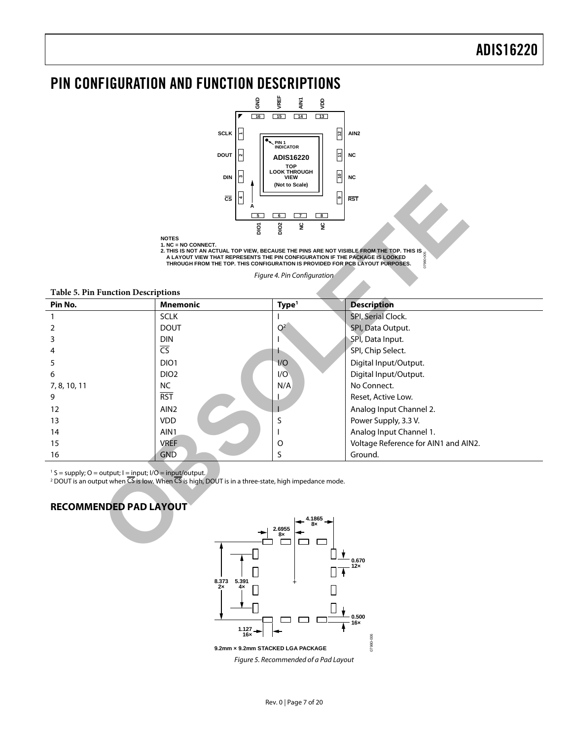## <span id="page-6-0"></span>PIN CONFIGURATION AND FUNCTION DESCRIPTIONS



Figure 4. Pin Configuration

**Table 5. Pin Function Descriptions** 

|                                                                                                                                                                                                                                                                       | $\overline{\text{cs}}$<br>$\sqrt{5}$<br>δ<br><b>NOTES</b><br>1. NC = NO CONNECT.<br>2. THIS IS NOT AN ACTUAL TOP VIEW, BECAUSE THE PINS ARE NOT VISIBLE FROM THE TOP. THIS IS | (Not to Scale)<br> ⊶<br>$\overline{7}$<br>$\boxed{8}$<br>$\overline{6}$<br>DIO <sub>2</sub><br>$\overline{g}$<br>$\tilde{\mathbf{z}}$ | RST                                  |  |  |
|-----------------------------------------------------------------------------------------------------------------------------------------------------------------------------------------------------------------------------------------------------------------------|-------------------------------------------------------------------------------------------------------------------------------------------------------------------------------|---------------------------------------------------------------------------------------------------------------------------------------|--------------------------------------|--|--|
|                                                                                                                                                                                                                                                                       | A LAYOUT VIEW THAT REPRESENTS THE PIN CONFIGURATION IF THE PACKAGE IS LOOKED<br>THROUGH FROM THE TOP. THIS CONFIGURATION IS PROVIDED FOR PCB LAYOUT PURPOSES.                 |                                                                                                                                       |                                      |  |  |
|                                                                                                                                                                                                                                                                       |                                                                                                                                                                               | Figure 4. Pin Configuration                                                                                                           |                                      |  |  |
| <b>Table 5. Pin Function Descriptions</b>                                                                                                                                                                                                                             |                                                                                                                                                                               |                                                                                                                                       |                                      |  |  |
| Pin No.                                                                                                                                                                                                                                                               | <b>Mnemonic</b>                                                                                                                                                               | Type <sup>1</sup>                                                                                                                     | <b>Description</b>                   |  |  |
| $\mathbf{1}$                                                                                                                                                                                                                                                          | <b>SCLK</b>                                                                                                                                                                   |                                                                                                                                       | SPI, Serial Clock.                   |  |  |
| 2                                                                                                                                                                                                                                                                     | <b>DOUT</b>                                                                                                                                                                   | O <sup>2</sup>                                                                                                                        | SPI, Data Output.                    |  |  |
| 3                                                                                                                                                                                                                                                                     | <b>DIN</b>                                                                                                                                                                    |                                                                                                                                       | SPI, Data Input.                     |  |  |
| 4                                                                                                                                                                                                                                                                     | $\overline{CS}$                                                                                                                                                               |                                                                                                                                       | SPI, Chip Select.                    |  |  |
| 5                                                                                                                                                                                                                                                                     | DIO1                                                                                                                                                                          | 1/O                                                                                                                                   | Digital Input/Output.                |  |  |
| 6                                                                                                                                                                                                                                                                     | DIO <sub>2</sub>                                                                                                                                                              | 1/O                                                                                                                                   | Digital Input/Output.                |  |  |
| 7, 8, 10, 11                                                                                                                                                                                                                                                          | <b>NC</b>                                                                                                                                                                     | N/A                                                                                                                                   | No Connect.                          |  |  |
| 9                                                                                                                                                                                                                                                                     | $\overline{RST}$                                                                                                                                                              |                                                                                                                                       | Reset, Active Low.                   |  |  |
| 12                                                                                                                                                                                                                                                                    | AIN <sub>2</sub>                                                                                                                                                              |                                                                                                                                       | Analog Input Channel 2.              |  |  |
| 13                                                                                                                                                                                                                                                                    | <b>VDD</b>                                                                                                                                                                    | S                                                                                                                                     | Power Supply, 3.3 V.                 |  |  |
| 14                                                                                                                                                                                                                                                                    | AIN1                                                                                                                                                                          |                                                                                                                                       | Analog Input Channel 1.              |  |  |
| 15                                                                                                                                                                                                                                                                    | <b>VREF</b>                                                                                                                                                                   | O                                                                                                                                     | Voltage Reference for AIN1 and AIN2. |  |  |
| 16                                                                                                                                                                                                                                                                    | <b>GND</b>                                                                                                                                                                    | S                                                                                                                                     | Ground.                              |  |  |
| $1 S =$ supply; O = output; $I =$ input; $I/O =$ input/output.<br><sup>2</sup> DOUT is an output when $\overline{CS}$ is low. When $\overline{CS}$ is high, DOUT is in a three-state, high impedance mode.<br><b>RECOMMENDED PAD LAYOUT</b><br>4.1865<br>2.6955<br>8× |                                                                                                                                                                               |                                                                                                                                       |                                      |  |  |
|                                                                                                                                                                                                                                                                       |                                                                                                                                                                               |                                                                                                                                       |                                      |  |  |

### <span id="page-6-2"></span><span id="page-6-1"></span>**RECOMMENDED PAD LAYOUT**



Figure 5. Recommended of a Pad Layout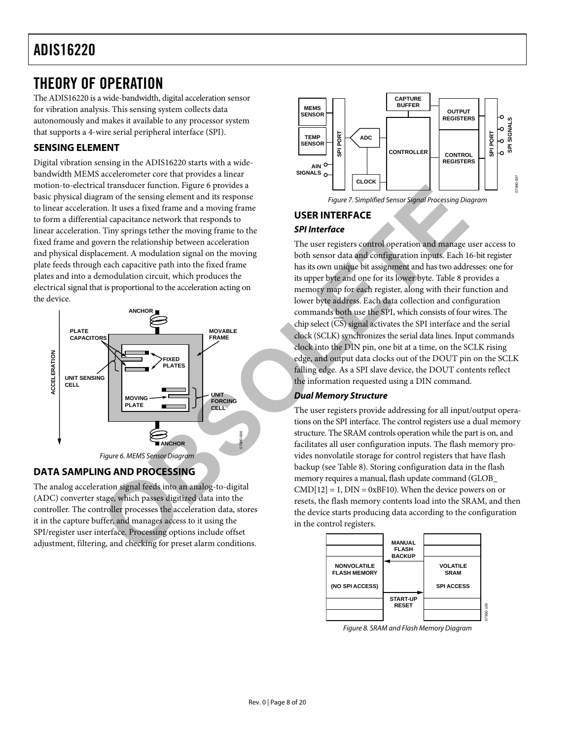## <span id="page-7-0"></span>THEORY OF OPERATION

The ADIS16220 is a wide-bandwidth, digital acceleration sensor for vibration analysis. This sensing system collects data autonomously and makes it available to any processor system that supports a 4-wire serial peripheral interface (SPI).

### <span id="page-7-1"></span>**SENSING ELEMENT**

Digital vibration sensing in the ADIS16220 starts with a widebandwidth MEMS accelerometer core that provides a linear motion-to-electrical transducer function[. Figure 6 p](#page-7-4)rovides a basic physical diagram of the sensing element and its response to linear acceleration. It uses a fixed frame and a moving frame to form a differential capacitance network that responds to linear acceleration. Tiny springs tether the moving frame to the fixed frame and govern the relationship between acceleration and physical displacement. A modulation signal on the moving plate feeds through each capacitive path into the fixed frame plates and into a demodulation circuit, which produces the electrical signal that is proportional to the acceleration acting on the device.



### <span id="page-7-4"></span><span id="page-7-2"></span>**DATA SAMPLING AND PROCESSING**

The analog acceleration signal feeds into an analog-to-digital (ADC) converter stage, which passes digitized data into the controller. The controller processes the acceleration data, stores it in the capture buffer, and manages access to it using the SPI/register user interface. Processing options include offset adjustment, filtering, and checking for preset alarm conditions.



<span id="page-7-3"></span>**USER INTERFACE** 

## **SPI Interface**

The user registers control operation and manage user access to both sensor data and configuration inputs. Each 16-bit register has its own unique bit assignment and has two addresses: one for its upper byte and one for its lower byte. Table 8 provides a memory map for each register, along with their function and lower byte address. Each data collection and configuration commands both use the SPI, which consists of four wires. The chip select  $(\overline{CS})$  signal activates the SPI interface and the serial clock (SCLK) synchronizes the serial data lines. Input commands clock into the DIN pin, one bit at a time, on the SCLK rising edge, and output data clocks out of the DOUT pin on the SCLK falling edge. As a SPI slave device, the DOUT contents reflect the information requested using a DIN command. at transacter interior for the sensing element and its response<br>
Trans a fixed frame and a moving frame and a moving frame and a moving frame and a moving frame to the stating element and its response<br>
Equal 2.5 implified

### **Dual Memory Structure**

The user registers provide addressing for all input/output operations on the SPI interface. The control registers use a dual memory structure. The SRAM controls operation while the part is on, and facilitates all user configuration inputs. The flash memory provides nonvolatile storage for control registers that have flash backup (see Table 8). Storing configuration data in the flash memory requires a manual, flash update command (GLOB\_  $CMD[12] = 1$ ,  $DIN = 0xBF10$ . When the device powers on or resets, the flash memory contents load into the SRAM, and then the device starts producing data according to the configuration in the control registers.



Figure 8. SRAM and Flash Memory Diagram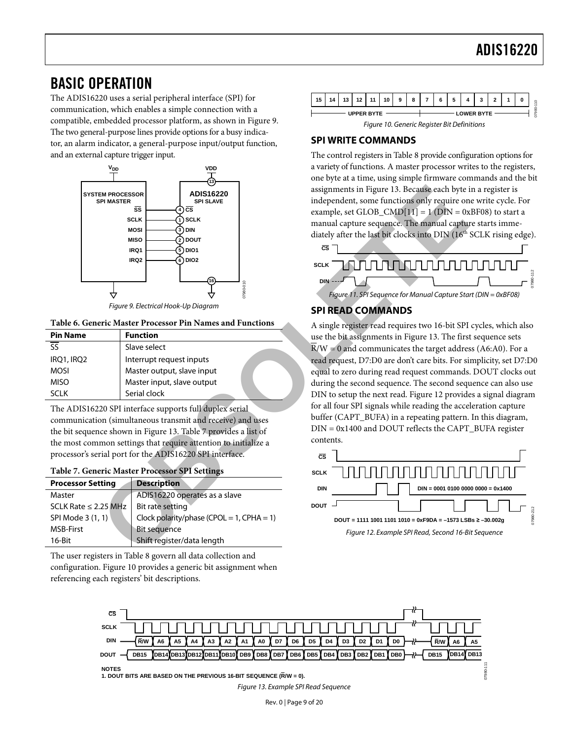## <span id="page-8-1"></span><span id="page-8-0"></span>BASIC OPERATION

The ADIS16220 uses a serial peripheral interface (SPI) for communication, which enables a simple connection with a compatible, embedded processor platform, as shown in [Figure](#page-8-2) 9. [Th](#page-8-2)e two general-purpose lines provide options for a busy indicator, an alarm indicator, a general-purpose input/output function, and an external capture trigger input.



Figure 9. Electrical Hook-Up Diagram

<span id="page-8-2"></span>

| <b>Pin Name</b> | <b>Function</b>            |
|-----------------|----------------------------|
|                 | Slave select               |
| IRQ1, IRQ2      | Interrupt request inputs   |
| <b>MOSI</b>     | Master output, slave input |
| <b>MISO</b>     | Master input, slave output |
| א ורא           | Serial clock               |

The ADIS16220 SPI interface supports full duplex serial communication (simultaneous transmit and receive) and uses the bit sequence shown in Figure 13. Table 7 provides a list of the most common settings that require attention to initialize a processor's serial port for the ADIS16220 SPI interface.

#### <span id="page-8-4"></span>**Table 7. Generic Master Processor SPI Settings**

| <b>Processor Setting</b>  | <b>Description</b>                              |
|---------------------------|-------------------------------------------------|
| Master                    | ADIS16220 operates as a slave                   |
| SCLK Rate $\leq$ 2.25 MHz | Bit rate setting                                |
| SPI Mode 3 (1, 1)         | Clock polarity/phase (CPOL = $1$ , CPHA = $1$ ) |
| <b>MSB-First</b>          | <b>Bit sequence</b>                             |
| $16$ -Bit                 | Shift register/data length                      |

The user registers in [Table 8 g](#page-9-0)overn all data collection and configuration. Figure 10 provides a generic bit assignment when referencing each registers' bit descriptions.



### **SPI WRITE COMMANDS**

The control registers i[n Table 8 p](#page-9-0)rovide configuration options for a variety of functions. A master processor writes to the registers, one byte at a time, using simple firmware commands and the bit assignments in Figure 13. Because each byte in a register is independent, some functions only require one write cycle. For example, set GLOB\_CMD[11] =  $1$  (DIN = 0xBF08) to start a manual capture sequence. The manual capture starts immediately after the last bit clocks into DIN (16<sup>th</sup> SCLK rising edge). **CS**



## **SPI READ COMMANDS**

A single register read requires two 16-bit SPI cycles, which also use the bit assignments in Figure 13. The first sequence sets  $R/W = 0$  and communicates the target address (A6:A0). For a read request, D7:D0 are don't care bits. For simplicity, set D7:D0 equal to zero during read request commands. DOUT clocks out during the second sequence. The second sequence can also use DIN to setup the next read. Figure 12 provides a signal diagram for all four SPI signals while reading the acceleration capture buffer (CAPT\_BUFA) in a repeating pattern. In this diagram, DIN = 0x1400 and DOUT reflects the CAPT\_BUFA register contents. **EXECTED ADI[S](#page-8-4)TR[E](#page-8-3)SS**<br> **OCONSERVANTS**<br> **OCONSERVANTS**<br> **OCONSERVANTS**<br> **OCONSERVANTS**<br> **OCONSERVANTS**<br> **O[B](#page-8-3)**<br> **OCONSERVANTS**<br> **OCONSERVANTS**<br> **OCONS**<br> **OCONSERVANTS**<br> **OCONS**<br> **OCONSERVANTS**<br> **OCONS** 



<span id="page-8-3"></span>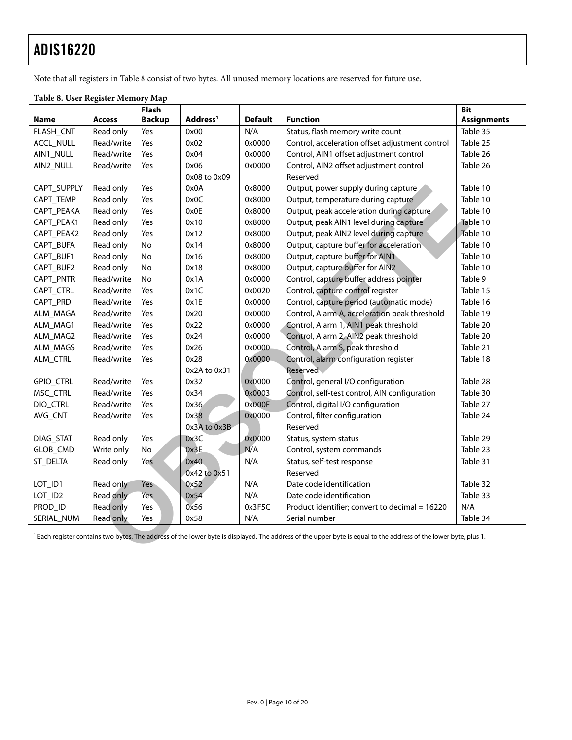Note that all registers i[n Table 8 c](#page-9-0)onsist of two bytes. All unused memory locations are reserved for future use.

|             | ັ             | Flash         |                      |                |                                                                                                                                                                             | <b>Bit</b>         |
|-------------|---------------|---------------|----------------------|----------------|-----------------------------------------------------------------------------------------------------------------------------------------------------------------------------|--------------------|
| <b>Name</b> | <b>Access</b> | <b>Backup</b> | Address <sup>1</sup> | <b>Default</b> | <b>Function</b>                                                                                                                                                             | <b>Assignments</b> |
| FLASH_CNT   | Read only     | Yes           | 0x00                 | N/A            | Status, flash memory write count                                                                                                                                            | Table 35           |
| ACCL_NULL   | Read/write    | Yes           | 0x02                 | 0x0000         | Control, acceleration offset adjustment control                                                                                                                             | Table 25           |
| AIN1_NULL   | Read/write    | Yes           | 0x04                 | 0x0000         | Control, AIN1 offset adjustment control                                                                                                                                     | Table 26           |
| AIN2_NULL   | Read/write    | Yes           | 0x06                 | 0x0000         | Control, AIN2 offset adjustment control                                                                                                                                     | Table 26           |
|             |               |               | 0x08 to 0x09         |                | Reserved                                                                                                                                                                    |                    |
| CAPT_SUPPLY | Read only     | Yes           | 0x0A                 | 0x8000         | Output, power supply during capture                                                                                                                                         | Table 10           |
| CAPT_TEMP   | Read only     | Yes           | 0x0C                 | 0x8000         | Output, temperature during capture                                                                                                                                          | Table 10           |
| CAPT_PEAKA  | Read only     | Yes           | 0x0E                 | 0x8000         | Output, peak acceleration during capture                                                                                                                                    | Table 10           |
| CAPT_PEAK1  | Read only     | Yes           | 0x10                 | 0x8000         | Output, peak AIN1 level during capture                                                                                                                                      | Table 10           |
| CAPT_PEAK2  | Read only     | Yes           | 0x12                 | 0x8000         | Output, peak AIN2 level during capture                                                                                                                                      | Table 10           |
| CAPT_BUFA   | Read only     | No            | 0x14                 | 0x8000         | Output, capture buffer for acceleration                                                                                                                                     | Table 10           |
| CAPT_BUF1   | Read only     | No            | 0x16                 | 0x8000         | Output, capture buffer for AIN1                                                                                                                                             | Table 10           |
| CAPT_BUF2   | Read only     | No            | 0x18                 | 0x8000         | Output, capture buffer for AIN2                                                                                                                                             | Table 10           |
| CAPT_PNTR   | Read/write    | <b>No</b>     | 0x1A                 | 0x0000         | Control, capture buffer address pointer                                                                                                                                     | Table 9            |
| CAPT_CTRL   | Read/write    | Yes           | 0x1C                 | 0x0020         | Control, capture control register                                                                                                                                           | Table 15           |
| CAPT_PRD    | Read/write    | Yes           | 0x1E                 | 0x0000         | Control, capture period (automatic mode)                                                                                                                                    | Table 16           |
| ALM_MAGA    | Read/write    | Yes           | 0x20                 | 0x0000         | Control, Alarm A, acceleration peak threshold                                                                                                                               | Table 19           |
| ALM_MAG1    | Read/write    | Yes           | 0x22                 | 0x0000         | Control, Alarm 1, AIN1 peak threshold                                                                                                                                       | Table 20           |
| ALM_MAG2    | Read/write    | Yes           | 0x24                 | 0x0000         | Control, Alarm 2, AIN2 peak threshold                                                                                                                                       | Table 20           |
| ALM_MAGS    | Read/write    | Yes           | 0x26                 | 0x0000         | Control, Alarm S, peak threshold                                                                                                                                            | Table 21           |
| ALM_CTRL    | Read/write    | Yes           | 0x28                 | 0x0000         | Control, alarm configuration register                                                                                                                                       | Table 18           |
|             |               |               | 0x2A to 0x31         |                | Reserved                                                                                                                                                                    |                    |
| GPIO_CTRL   | Read/write    | Yes           | 0x32                 | 0x0000         | Control, general I/O configuration                                                                                                                                          | Table 28           |
| MSC_CTRL    | Read/write    | Yes           | 0x34                 | 0x0003         | Control, self-test control, AIN configuration                                                                                                                               | Table 30           |
| DIO_CTRL    | Read/write    | Yes           | 0x36                 | 0x000F         | Control, digital I/O configuration                                                                                                                                          | Table 27           |
| AVG_CNT     | Read/write    | Yes           | 0x38                 | 0x0000         | Control, filter configuration                                                                                                                                               | Table 24           |
|             |               |               | 0x3A to 0x3B         |                | Reserved                                                                                                                                                                    |                    |
| DIAG_STAT   | Read only     | Yes           | 0x3C                 | 0x0000         | Status, system status                                                                                                                                                       | Table 29           |
| GLOB_CMD    | Write only    | No            | 0x3E                 | N/A            | Control, system commands                                                                                                                                                    | Table 23           |
| ST_DELTA    | Read only     | Yes           | 0x40                 | N/A            | Status, self-test response                                                                                                                                                  | Table 31           |
|             |               |               | 0x42 to 0x51         |                | Reserved                                                                                                                                                                    |                    |
| LOT_ID1     | Read only     | Yes           | 0x52                 | N/A            | Date code identification                                                                                                                                                    | Table 32           |
| LOT_ID2     | Read only     | Yes           | 0x54                 | N/A            | Date code identification                                                                                                                                                    | Table 33           |
| PROD_ID     | Read only     | Yes           | 0x56                 | 0x3F5C         | Product identifier; convert to decimal = 16220                                                                                                                              | N/A                |
| SERIAL_NUM  | Read only     | Yes           | 0x58                 | N/A            | Serial number                                                                                                                                                               | Table 34           |
|             |               |               |                      |                | <sup>1</sup> Each register contains two bytes. The address of the lower byte is displayed. The address of the upper byte is equal to the address of the lower byte, plus 1. |                    |

#### <span id="page-9-0"></span>**Table 8. User Register Memory Map**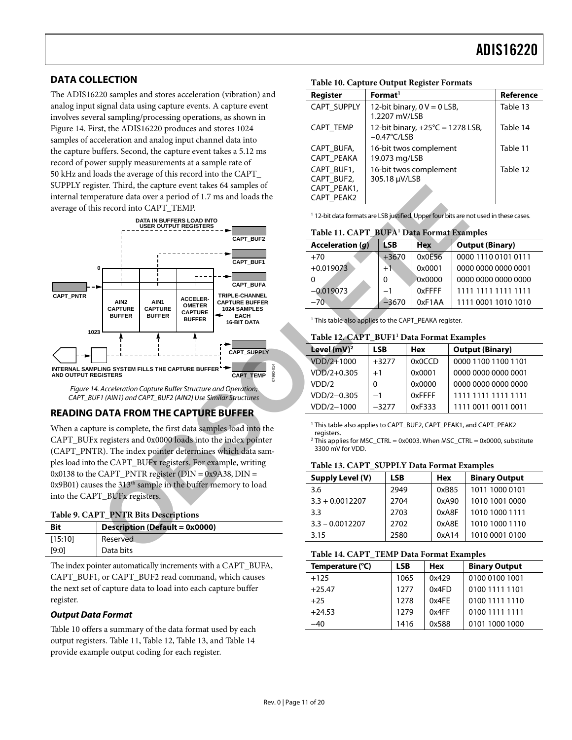### <span id="page-10-0"></span>**DATA COLLECTION**

The ADIS16220 samples and stores acceleration (vibration) and analog input signal data using capture events. A capture event involves several sampling/processing operations, as shown in [Figure 14.](#page-10-4) First, the ADIS16220 produces and stores 1024 samples of acceleration and analog input channel data into the capture buffers. Second, the capture event takes a 5.12 ms record of power supply measurements at a sample rate of 50 kHz and loads the average of this record into the CAPT\_ SUPPLY register. Third, the capture event takes 64 samples of internal temperature data over a period of 1.7 ms and loads the average of this record into CAPT\_TEMP.



<span id="page-10-4"></span>Figure 14. Acceleration Capture Buffer Structure and Operation; CAPT\_BUF1 (AIN1) and CAPT\_BUF2 (AIN2) Use Similar Structures

## <span id="page-10-1"></span>**READING DATA FROM THE CAPTURE BUFFER**

When a capture is complete, the first data samples load into the CAPT\_BUFx registers and 0x0000 loads into the index pointer (CAPT\_PNTR). The index pointer determines which data samples load into the CAPT\_BUFx registers. For example, writing 0x0138 to the CAPT\_PNTR register ( $DIN = 0x9A38$ ,  $DIN =$ 0x9B01) causes the 313<sup>th</sup> sample in the buffer memory to load into the CAPT\_BUFx registers.

#### <span id="page-10-3"></span>**Table 9. CAPT\_PNTR Bits Descriptions**

| Bit     | <b>Description (Default = 0x0000)</b> |
|---------|---------------------------------------|
| [15:10] | Reserved                              |
| [9:0]   | Data bits                             |

The index pointer automatically increments with a CAPT\_BUFA, CAPT\_BUF1, or CAPT\_BUF2 read command, which causes the next set of capture data to load into each capture buffer register.

#### **Output Data Format**

[Table 10 o](#page-10-2)ffers a summary of the data format used by each output registers[. Table 11,](#page-10-5) [Table 12,](#page-10-6) [Table 13,](#page-10-7) an[d Table 14](#page-10-8)  provide example output coding for each register.

| Register                                              | Format <sup>1</sup>                                                | Reference |
|-------------------------------------------------------|--------------------------------------------------------------------|-----------|
| CAPT SUPPLY                                           | 12-bit binary, $0 V = 0$ LSB,<br>1.2207 mV/LSB                     | Table 13  |
| CAPT TEMP                                             | 12-bit binary, $+25^{\circ}C = 1278$ LSB,<br>$-0.47^{\circ}$ C/LSB | Table 14  |
| CAPT BUFA,<br>CAPT PEAKA                              | 16-bit twos complement<br>19.073 mg/LSB                            | Table 11  |
| CAPT BUF1,<br>CAPT BUF2,<br>CAPT PEAK1,<br>CAPT PEAK2 | 16-bit twos complement<br>305.18 µV/LSB                            | Table 12  |

<span id="page-10-2"></span>**Table 10. Capture Output Register Formats** 

<sup>1</sup> 12-bit data formats are LSB justified. Upper four bits are not used in these cases.

#### <span id="page-10-5"></span>**Table 11. CAPT\_BUFA1 Data Format Examples**

| <b>Acceleration (g)</b> | LSB     | Hex    | <b>Output (Binary)</b> |
|-------------------------|---------|--------|------------------------|
| $+70$                   | $+3670$ | 0x0E56 | 0000 1110 0101 0111    |
| $+0.019073$             | $+1$    | 0x0001 | 0000 0000 0000 0001    |
| 0                       | 0       | 0x0000 | 0000 0000 0000 0000    |
| $-0.019073$             | $-1$    | 0xFFFF | 1111 1111 1111 1111    |
| $-70$                   | $-3670$ | 0xF1AA | 1111 0001 1010 1010    |

<span id="page-10-6"></span><sup>1</sup> This table also applies to the CAPT\_PEAKA register.

#### **Table 12. CAPT\_BUF11 Data Format Examples**

| Level $(mV)^2$ | <b>LSB</b> | Hex    | <b>Output (Binary)</b> |
|----------------|------------|--------|------------------------|
| VDD/2+1000     | $+3277$    | 0x0CCD | 0000 1100 1100 1101    |
| $VDD/2+0.305$  | $+1$       | 0x0001 | 0000 0000 0000 0001    |
| VDD/2          | 0          | 0x0000 | 0000 0000 0000 0000    |
| VDD/2-0.305    | $-1$       | 0xFFFF | 1111 1111 1111 1111    |
| VDD/2-1000     | $-3277$    | 0xF333 | 1111 0011 0011 0011    |

1 This table also applies to CAPT\_BUF2, CAPT\_PEAK1, and CAPT\_PEAK2 registers.

 $2$  This applies for MSC\_CTRL = 0x0003. When MSC\_CTRL = 0x0000, substitute 3300 mV for VDD.

#### <span id="page-10-7"></span>**Table 13. CAPT\_SUPPLY Data Format Examples**

| <b>LSB</b> | <b>Hex</b> | <b>Binary Output</b> |
|------------|------------|----------------------|
| 2949       | 0xB85      | 1011 1000 0101       |
| 2704       | 0xA90      | 1010 1001 0000       |
| 2703       | 0xA8F      | 1010 1000 1111       |
| 2702       | 0xA8E      | 1010 1000 1110       |
| 2580       | 0xA14      | 1010 0001 0100       |
|            |            |                      |

#### <span id="page-10-8"></span>**Table 14. CAPT\_TEMP Data Format Examples**

| Tuble I ii Chil I Think Dura Formut Daminpres |            |            |                      |  |
|-----------------------------------------------|------------|------------|----------------------|--|
| Temperature (°C)                              | <b>LSB</b> | <b>Hex</b> | <b>Binary Output</b> |  |
| $+125$                                        | 1065       | 0x429      | 0100 0100 1001       |  |
| $+25.47$                                      | 1277       | 0x4FD      | 0100 1111 1101       |  |
| $+25$                                         | 1278       | 0x4FF      | 0100 1111 1110       |  |
| $+24.53$                                      | 1279       | 0x4FF      | 0100 1111 1111       |  |
| $-40$                                         | 1416       | 0x588      | 0101 1000 1000       |  |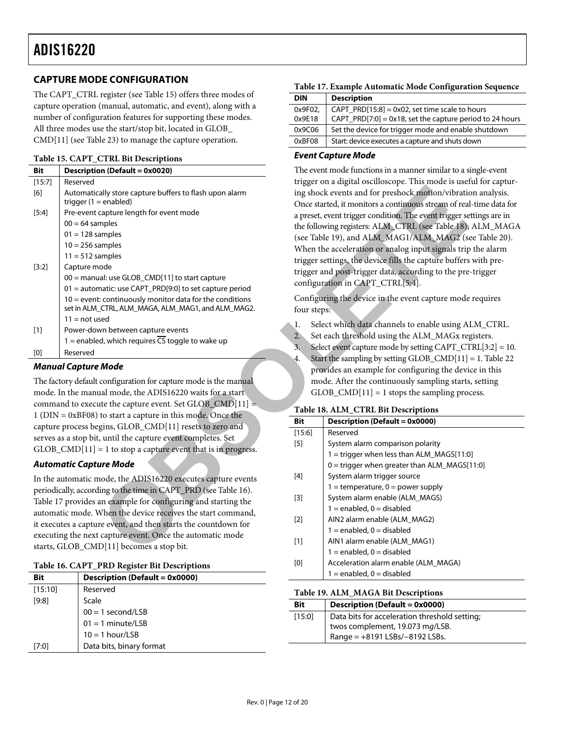### <span id="page-11-0"></span>**CAPTURE MODE CONFIGURATION**

The CAPT\_CTRL register (see [Table 15\)](#page-11-1) offers three modes of capture operation (manual, automatic, and event), along with a number of configuration features for supporting these modes. All three modes use the start/stop bit, located in GLOB\_ CMD[11] (se[e Table 23\)](#page-12-4) to manage the capture operation.

#### <span id="page-11-1"></span>**Table 15. CAPT\_CTRL Bit Descriptions**

| <b>Bit</b><br><b>Description (Default = 0x0020)</b>                                                                              |                                                                                                                                                                                                                                                                                                    |                                              | The event mode functions in a manner similar to a s                                                                                                                                                                                                                                                                                                                                                                                                                                                                                       |  |
|----------------------------------------------------------------------------------------------------------------------------------|----------------------------------------------------------------------------------------------------------------------------------------------------------------------------------------------------------------------------------------------------------------------------------------------------|----------------------------------------------|-------------------------------------------------------------------------------------------------------------------------------------------------------------------------------------------------------------------------------------------------------------------------------------------------------------------------------------------------------------------------------------------------------------------------------------------------------------------------------------------------------------------------------------------|--|
| [15:7]<br>[6]<br>$[5:4]$<br>$[3:2]$                                                                                              | Reserved<br>Automatically store capture buffers to flash upon alarm<br>trigger $(1 =$ enabled)<br>Pre-event capture length for event mode<br>$00 = 64$ samples<br>$01 = 128$ samples<br>$10 = 256$ samples<br>$11 = 512$ samples<br>Capture mode<br>00 = manual: use GLOB_CMD[11] to start capture |                                              | trigger on a digital oscilloscope. This mode is uset<br>ing shock events and for preshock motion/vibratio<br>Once started, it monitors a continuous stream of real<br>a preset, event trigger condition. The event trigger se<br>the following registers: ALM_CTRL (see Table 18),<br>(see Table 19), and ALM_MAG1/ALM_MAG2 (s<br>When the acceleration or analog input signals trip<br>trigger settings, the device fills the capture buffers<br>trigger and post-trigger data, according to the pre<br>configuration in CAPT_CTRL[5:4]. |  |
|                                                                                                                                  | 01 = automatic: use CAPT_PRD[9:0] to set capture period<br>10 = event: continuously monitor data for the conditions<br>set in ALM_CTRL, ALM_MAGA, ALM_MAG1, and ALM_MAG2.                                                                                                                          | four steps:                                  | Configuring the device in the event capture mode                                                                                                                                                                                                                                                                                                                                                                                                                                                                                          |  |
| $[1]$                                                                                                                            | $11 = not used$<br>Power-down between capture events<br>1 = enabled, which requires $\overline{CS}$ toggle to wake up                                                                                                                                                                              | 1.<br>2.<br>3.                               | Select which data channels to enable using A<br>Set each threshold using the ALM_MAGx re-<br>Select event capture mode by setting CAPT_CT                                                                                                                                                                                                                                                                                                                                                                                                 |  |
| [0]                                                                                                                              | Reserved                                                                                                                                                                                                                                                                                           | 4.                                           | Start the sampling by setting GLOB_CMD[11]                                                                                                                                                                                                                                                                                                                                                                                                                                                                                                |  |
| <b>Manual Capture Mode</b>                                                                                                       |                                                                                                                                                                                                                                                                                                    | provides an example for configuring the devi |                                                                                                                                                                                                                                                                                                                                                                                                                                                                                                                                           |  |
| The factory default configuration for capture mode is the manual                                                                 |                                                                                                                                                                                                                                                                                                    | mode. After the continuously sampling starts |                                                                                                                                                                                                                                                                                                                                                                                                                                                                                                                                           |  |
| mode. In the manual mode, the ADIS16220 waits for a start                                                                        |                                                                                                                                                                                                                                                                                                    |                                              | $GLOB\_CMD[11] = 1$ stops the sampling pro-                                                                                                                                                                                                                                                                                                                                                                                                                                                                                               |  |
|                                                                                                                                  | command to execute the capture event. Set $GLOB\_CMD[11] =$                                                                                                                                                                                                                                        |                                              | Table 18. ALM_CTRL Bit Descriptions                                                                                                                                                                                                                                                                                                                                                                                                                                                                                                       |  |
|                                                                                                                                  | $1(DIN = 0xBF08)$ to start a capture in this mode. Once the                                                                                                                                                                                                                                        | <b>Bit</b>                                   | <b>Description (Default = 0x0000)</b>                                                                                                                                                                                                                                                                                                                                                                                                                                                                                                     |  |
|                                                                                                                                  | capture process begins, GLOB_CMD[11] resets to zero and                                                                                                                                                                                                                                            | [15:6]                                       | Reserved                                                                                                                                                                                                                                                                                                                                                                                                                                                                                                                                  |  |
|                                                                                                                                  | serves as a stop bit, until the capture event completes. Set<br>$GLOB\_CMD[11] = 1$ to stop a capture event that is in progress.                                                                                                                                                                   | $[5]$                                        | System alarm comparison polarity                                                                                                                                                                                                                                                                                                                                                                                                                                                                                                          |  |
|                                                                                                                                  |                                                                                                                                                                                                                                                                                                    |                                              | 1 = trigger when less than ALM_MAGS[11:0                                                                                                                                                                                                                                                                                                                                                                                                                                                                                                  |  |
|                                                                                                                                  | <b>Automatic Capture Mode</b>                                                                                                                                                                                                                                                                      |                                              | 0 = trigger when greater than ALM_MAGS[                                                                                                                                                                                                                                                                                                                                                                                                                                                                                                   |  |
|                                                                                                                                  | In the automatic mode, the ADIS16220 executes capture events                                                                                                                                                                                                                                       | $[4]$                                        | System alarm trigger source                                                                                                                                                                                                                                                                                                                                                                                                                                                                                                               |  |
| periodically, according to the time in CAPT_PRD (see Table 16).<br>Table 17 provides an example for configuring and starting the |                                                                                                                                                                                                                                                                                                    | $[3]$                                        | $1 =$ temperature, $0 =$ power supply<br>System alarm enable (ALM_MAGS)                                                                                                                                                                                                                                                                                                                                                                                                                                                                   |  |
| automatic mode. When the device receives the start command,<br>it executes a capture event, and then starts the countdown for    |                                                                                                                                                                                                                                                                                                    | $[2]$                                        | $1 =$ enabled, $0 =$ disabled<br>AIN2 alarm enable (ALM_MAG2)                                                                                                                                                                                                                                                                                                                                                                                                                                                                             |  |
|                                                                                                                                  | executing the next capture event. Once the automatic mode<br>starts, GLOB_CMD[11] becomes a stop bit.                                                                                                                                                                                              | $[1]$                                        | $1 =$ enabled, $0 =$ disabled<br>AIN1 alarm enable (ALM_MAG1)                                                                                                                                                                                                                                                                                                                                                                                                                                                                             |  |
|                                                                                                                                  |                                                                                                                                                                                                                                                                                                    |                                              | $1 =$ enabled, $0 =$ disabled                                                                                                                                                                                                                                                                                                                                                                                                                                                                                                             |  |

#### **Manual Capture Mode**

#### **Automatic Capture Mode**

<span id="page-11-2"></span>

|  |  |  | Table 16. CAPT_PRD Register Bit Descriptions |
|--|--|--|----------------------------------------------|
|--|--|--|----------------------------------------------|

| Bit                 | Description (Default = $0x0000$ )          |          | T = endbied, v = disable(                        |
|---------------------|--------------------------------------------|----------|--------------------------------------------------|
| [15:10]<br>Reserved |                                            |          | Table 19. ALM MAGA Bit Des                       |
| [9:8]               | Scale                                      | Bit      | <b>Description (Default</b>                      |
|                     | $00 = 1$ second/LSB<br>$01 = 1$ minute/LSB | $[15:0]$ | Data bits for accelerati<br>twos complement, 19. |
|                     | $10 = 1$ hour/LSB                          |          | Range = $+8191$ LSBs/-                           |
| $[7:0]$             | Data bits, binary format                   |          |                                                  |

<span id="page-11-5"></span>

|       |  | Table 17. Example Automatic Mode Configuration Sequence |
|-------|--|---------------------------------------------------------|
| _____ |  |                                                         |

| <b>DIN</b>        | <b>Description</b>                                                                                               |
|-------------------|------------------------------------------------------------------------------------------------------------------|
| 0x9F02,<br>0x9E18 | $CAPT_PRD[15:8] = 0x02$ , set time scale to hours<br>CAPT_PRD[7:0] = $0x18$ , set the capture period to 24 hours |
| 0x9C06            | Set the device for trigger mode and enable shutdown                                                              |
| 0xBFO8            | Start: device executes a capture and shuts down                                                                  |
|                   |                                                                                                                  |

#### **Event Capture Mode**

The event mode functions in a manner similar to a single-event trigger on a digital oscilloscope. This mode is useful for capturing shock events and for preshock motion/vibration analysis. Once started, it monitors a continuous stream of real-time data for a preset, event trigger condition. The event trigger settings are in the following registers: ALM\_CTRL (see Table 18), ALM\_MAGA (see Table 19), and ALM\_MAG1/ALM\_MAG2 (see [Table 20\)](#page-12-2). When the acceleration or analog input signals trip the alarm trigger settings, the device fills the capture buffers with pretrigger and post-trigger data, according to the pre-trigger configuration in CAPT\_CTRL[5:4].

Configuring the device in the event capture mode requires four steps:

1. Select which data channels to enable using ALM\_CTRL.

2. Set each threshold using the ALM\_MAGx registers. 3. Select event capture mode by setting CAPT\_CTRL[3:2] = 10. 4. Start the sampling by setting GLOB\_CMD[11] = 1[. Table 22](#page-12-5)  provides an example for configuring the device in this mode. After the continuously sampling starts, setting GLOB  $\text{CMD}[11] = 1$  stops the sampling process.

#### <span id="page-11-4"></span>**Table 18. ALM\_CTRL Bit Descriptions**

| Bit               | Description (Default = 0x0000)                 |
|-------------------|------------------------------------------------|
| [15:6]            | Reserved                                       |
| [5]               | System alarm comparison polarity               |
|                   | 1 = trigger when less than $ALM_MAGS[11:0]$    |
|                   | $0 =$ trigger when greater than ALM MAGS[11:0] |
| [4]               | System alarm trigger source                    |
|                   | $1 =$ temperature, $0 =$ power supply          |
| [3]               | System alarm enable (ALM MAGS)                 |
|                   | $1 =$ enabled, $0 =$ disabled                  |
| $\lceil 2 \rceil$ | AIN2 alarm enable (ALM MAG2)                   |
|                   | $1 =$ enabled, $0 =$ disabled                  |
| [1]               | AIN1 alarm enable (ALM MAG1)                   |
|                   | $1 =$ enabled, $0 =$ disabled                  |
| [0]               | Acceleration alarm enable (ALM MAGA)           |
|                   | $1 =$ enabled, $0 =$ disabled                  |

#### <span id="page-11-3"></span> $s$ **criptions**

| <b>Bit</b> | Description (Default = 0x0000)                                                                                     |  |  |
|------------|--------------------------------------------------------------------------------------------------------------------|--|--|
| [15:0]     | Data bits for acceleration threshold setting;<br>twos complement, 19.073 mg/LSB.<br>Range = +8191 LSBs/-8192 LSBs. |  |  |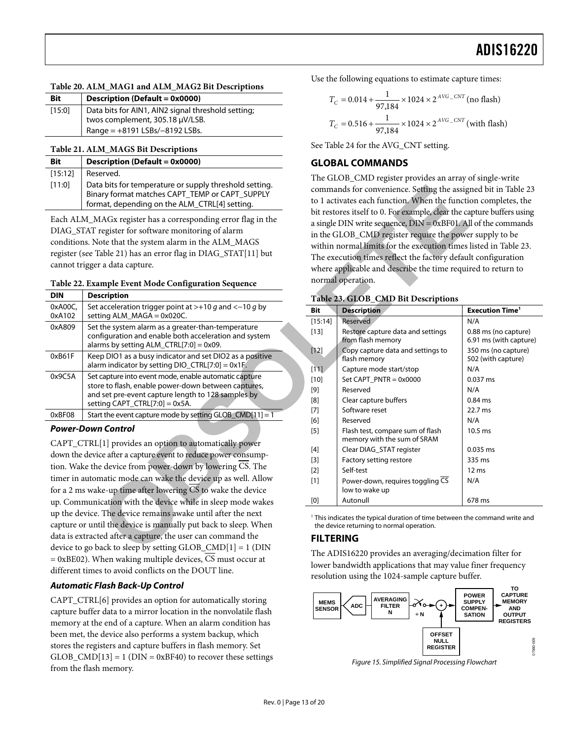#### <span id="page-12-2"></span>**Table 20. ALM\_MAG1 and ALM\_MAG2 Bit Descriptions**

| <b>Bit</b> | Description (Default = 0x0000)                     |  |  |
|------------|----------------------------------------------------|--|--|
| [15:0]     | Data bits for AIN1, AIN2 signal threshold setting; |  |  |
|            | twos complement, 305.18 µV/LSB.                    |  |  |
|            | Range = +8191 LSBs/-8192 LSBs.                     |  |  |

<span id="page-12-3"></span>**Table 21. ALM\_MAGS Bit Descriptions** 

| Bit     | Description (Default = 0x0000)                                                                                                                            |
|---------|-----------------------------------------------------------------------------------------------------------------------------------------------------------|
| [15:12] | Reserved.                                                                                                                                                 |
| [11:0]  | Data bits for temperature or supply threshold setting.<br>Binary format matches CAPT_TEMP or CAPT_SUPPLY<br>format, depending on the ALM_CTRL[4] setting. |

Each ALM\_MAGx register has a corresponding error flag in the DIAG\_STAT register for software monitoring of alarm conditions. Note that the system alarm in the ALM\_MAGS register (see Table 21) has an error flag in DIAG\_STAT[11] but cannot trigger a data capture.

<span id="page-12-5"></span>

| Table 22. Example Event Mode Configuration Sequence |  |
|-----------------------------------------------------|--|
|-----------------------------------------------------|--|

| <b>DIN</b>        | <b>Description</b>                                                                                                                                                                                      |
|-------------------|---------------------------------------------------------------------------------------------------------------------------------------------------------------------------------------------------------|
| 0xA00C,<br>0xA102 | Set acceleration trigger point at $> +10$ g and $<-10$ g by<br>setting ALM_MAGA = 0x020C.                                                                                                               |
| 0xA809            | Set the system alarm as a greater-than-temperature<br>configuration and enable both acceleration and system<br>alarms by setting $ALM_CTRL[7:0] = 0x09$ .                                               |
| 0xB61F            | Keep DIO1 as a busy indicator and set DIO2 as a positive<br>alarm indicator by setting $DIO$ $CRL[7:0] = 0x1F$ .                                                                                        |
| 0x9C5A            | Set capture into event mode, enable automatic capture<br>store to flash, enable power-down between captures,<br>and set pre-event capture length to 128 samples by<br>setting $CAPT_CTRL[7:0] = 0x5A$ . |
| 0xBF08            | Start the event capture mode by setting GLOB $\text{CMD}[11]=1$                                                                                                                                         |

#### **Power-Down Control**

CAPT\_CTRL[1] provides an option to automatically power down the device after a capture event to reduce power consumption. Wake the device from power-down by lowering CS. The timer in automatic mode can wake the device up as well. Allow for a 2 ms wake-up time after lowering CS to wake the device up. Communication with the device while in sleep mode wakes up the device. The device remains awake until after the next capture or until the device is manually put back to sleep. When data is extracted after a capture, the user can command the device to go back to sleep by setting  $GLOB\_CMD[1] = 1$  (DIN  $= 0xBE02$ ). When waking multiple devices, CS must occur at different times to avoid conflicts on the DOUT line.

#### **Automatic Flash Back-Up Control**

CAPT\_CTRL[6] provides an option for automatically storing capture buffer data to a mirror location in the nonvolatile flash memory at the end of a capture. When an alarm condition has been met, the device also performs a system backup, which stores the registers and capture buffers in flash memory. Set  $GLOB\_CMD[13] = 1 (DIN = 0xBF40)$  to recover these settings from the flash memory.

Use the following equations to estimate capture times:

$$
T_C = 0.014 + \frac{1}{97,184} \times 1024 \times 2^{AVG\_CNT} \text{ (no flash)}
$$
  

$$
T_C = 0.516 + \frac{1}{97,184} \times 1024 \times 2^{AVG\_CNT} \text{ (with flash)}
$$

See [Table 24 f](#page-13-7)or the AVG\_CNT setting.

### <span id="page-12-0"></span>**GLOBAL COMMANDS**

The GLOB\_CMD register provides an array of single-write commands for convenience. Setting the assigned bit in [Table 23](#page-12-4)  to 1 activates each function. When the function completes, the bit restores itself to 0. For example, clear the capture buffers using a single DIN write sequence, DIN = 0xBF01. All of the commands in the GLOB\_CMD register require the power supply to be within normal limits for the execution times listed i[n Table 23.](#page-12-4)  The execution times reflect the factory default configuration where applicable and describe the time required to return to normal operation.

| a bits for temperature or supply threshold setting.<br>ary format matches CAPT_TEMP or CAPT_SUPPLY<br>mat, depending on the ALM_CTRL[4] setting.                                                                       | commands for convenience. Setting the assigned bit in Table 23<br>to 1 activates each function. When the function completes, the                                                                                                                                                                                                                                                                                       |                                                                                                                                     |                                                       |  |  |
|------------------------------------------------------------------------------------------------------------------------------------------------------------------------------------------------------------------------|------------------------------------------------------------------------------------------------------------------------------------------------------------------------------------------------------------------------------------------------------------------------------------------------------------------------------------------------------------------------------------------------------------------------|-------------------------------------------------------------------------------------------------------------------------------------|-------------------------------------------------------|--|--|
| 1AGx register has a corresponding error flag in the<br>register for software monitoring of alarm<br>ote that the system alarm in the ALM_MAGS<br>Table 21) has an error flag in DIAG_STAT[11] but<br>r a data capture. | bit restores itself to 0. For example, clear the capture buffers using<br>a single DIN write sequence, $\overline{D}$ IN = 0xBF01. All of the commands<br>in the GLOB_CMD register require the power supply to be<br>within normal limits for the execution times listed in Table 23.<br>The execution times reflect the factory default configuration<br>where applicable and describe the time required to return to |                                                                                                                                     |                                                       |  |  |
| <b>Imple Event Mode Configuration Sequence</b>                                                                                                                                                                         | normal operation.                                                                                                                                                                                                                                                                                                                                                                                                      |                                                                                                                                     |                                                       |  |  |
| scription                                                                                                                                                                                                              |                                                                                                                                                                                                                                                                                                                                                                                                                        | Table 23. GLOB CMD Bit Descriptions                                                                                                 |                                                       |  |  |
| acceleration trigger point at >+10 $q$ and <-10 $q$ by<br>$ting ALM_MAGA = 0x020C.$                                                                                                                                    | <b>Bit</b>                                                                                                                                                                                                                                                                                                                                                                                                             | <b>Description</b>                                                                                                                  | <b>Execution Time<sup>1</sup></b>                     |  |  |
| the system alarm as a greater-than-temperature<br>ifiguration and enable both acceleration and system<br>$rms by setting ALM_CTRL[7:0] = 0x09.$                                                                        | [15:14]<br>$[13]$                                                                                                                                                                                                                                                                                                                                                                                                      | Reserved<br>Restore capture data and settings<br>from flash memory                                                                  | N/A<br>0.88 ms (no capture)<br>6.91 ms (with capture) |  |  |
| ep DIO1 as a busy indicator and set DIO2 as a positive<br>$rm indicator$ by setting DIO_CTRL[7:0] = 0x1F.                                                                                                              | $[12]$<br>[11]                                                                                                                                                                                                                                                                                                                                                                                                         | Copy capture data and settings to<br>flash memory                                                                                   | 350 ms (no capture)<br>502 (with capture)<br>N/A      |  |  |
| capture into event mode, enable automatic capture<br>re to flash, enable power-down between captures,<br>d set pre-event capture length to 128 samples by<br>$ting CAPT_CTRL[7:0] = 0x5A.$                             | $[10]$<br>$[9]$<br>[8]                                                                                                                                                                                                                                                                                                                                                                                                 | Capture mode start/stop<br>Set CAPT $PNTR = 0x0000$<br>Reserved<br>Clear capture buffers                                            | 0.037 ms<br>N/A<br>$0.84$ ms                          |  |  |
| rt the event capture mode by setting GLOB_CMD[11] = 1                                                                                                                                                                  | $[7]$                                                                                                                                                                                                                                                                                                                                                                                                                  | Software reset                                                                                                                      | 22.7 ms                                               |  |  |
| n Control                                                                                                                                                                                                              | [6]<br>$[5]$                                                                                                                                                                                                                                                                                                                                                                                                           | Reserved<br>Flash test, compare sum of flash<br>memory with the sum of SRAM                                                         | N/A<br>10.5 <sub>ms</sub>                             |  |  |
| [1] provides an option to automatically power<br>ce after a capture event to reduce power consump-<br>e device from power-down by lowering CS. The                                                                     | $[4]$<br>$[3]$<br>$[2]$                                                                                                                                                                                                                                                                                                                                                                                                | Clear DIAG_STAT register<br>Factory setting restore<br>Self-test                                                                    | 0.035 ms<br>335 ms<br>12 ms                           |  |  |
| matic mode can wake the device up as well. Allow<br>ke-up time after lowering CS to wake the device                                                                                                                    | $[1]$                                                                                                                                                                                                                                                                                                                                                                                                                  | Power-down, requires toggling CS<br>low to wake up                                                                                  | N/A                                                   |  |  |
| ication with the device while in sleep mode wakes                                                                                                                                                                      | $\left[0\right]$                                                                                                                                                                                                                                                                                                                                                                                                       | Autonull                                                                                                                            | 678 ms                                                |  |  |
| The device remains awake until after the next<br>til the device is manually put back to sleep. When<br>ted after a capture, the user can command the                                                                   | <b>FILTERING</b>                                                                                                                                                                                                                                                                                                                                                                                                       | <sup>1</sup> This indicates the typical duration of time between the command write and<br>the device returning to normal operation. |                                                       |  |  |
| ack to sleep by setting $GLOB\_CMD[1] = 1$ (DIN                                                                                                                                                                        |                                                                                                                                                                                                                                                                                                                                                                                                                        | The ADIS16220 provides an averaging/decimation filter for                                                                           |                                                       |  |  |

#### <span id="page-12-4"></span>**Table 23. GLOB\_CMD Bit Descriptions**

### <span id="page-12-1"></span>**FILTERING**

The ADIS16220 provides an averaging/decimation filter for lower bandwidth applications that may value finer frequency resolution using the 1024-sample capture buffer.



<span id="page-12-6"></span>Figure 15. Simplified Signal Processing Flowchart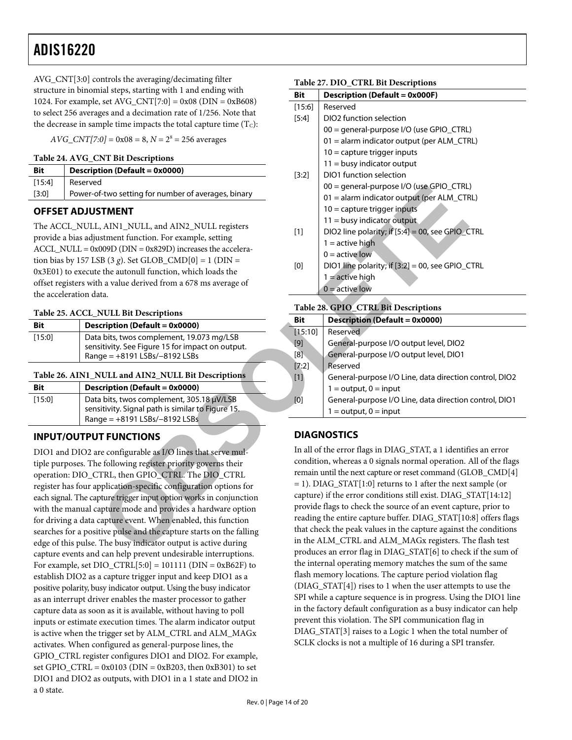AVG\_CNT[3:0] controls the averaging/decimating filter structure in binomial steps, starting with 1 and ending with 1024. For example, set AVG\_CNT[7:0] = 0x08 (DIN = 0xB608) to select 256 averages and a decimation rate of 1/256. Note that the decrease in sample time impacts the total capture time  $(T<sub>C</sub>)$ :

 $AVG_CNT[7:0] = 0x08 = 8, N = 2<sup>8</sup> = 256$  averages

#### <span id="page-13-7"></span>**Table 24. AVG\_CNT Bit Descriptions**

| <b>Bit</b> | Description (Default = 0x0000)                      |
|------------|-----------------------------------------------------|
| [15:4]     | Reserved                                            |
| [3:0]      | Power-of-two setting for number of averages, binary |

### <span id="page-13-0"></span>**OFFSET ADJUSTMENT**

The ACCL\_NULL, AIN1\_NULL, and AIN2\_NULL registers provide a bias adjustment function. For example, setting ACCL\_NULL = 0x009D (DIN = 0x829D) increases the acceleration bias by 157 LSB (3 *g*). Set GLOB\_CMD[0] = 1 (DIN = 0x3E01) to execute the autonull function, which loads the offset registers with a value derived from a 678 ms average of the acceleration data.

#### <span id="page-13-3"></span>**Table 25. ACCL\_NULL Bit Descriptions**

| Bit    | Description (Default = 0x0000)                                                                                                   |
|--------|----------------------------------------------------------------------------------------------------------------------------------|
| [15:0] | Data bits, twos complement, 19.073 mg/LSB<br>sensitivity. See Figure 15 for impact on output.<br>Range = $+8191$ LSBs/-8192 LSBs |
|        |                                                                                                                                  |

<span id="page-13-4"></span>

| Table 26. AIN1_NULL and AIN2_NULL Bit Descriptions |                                                                                                                                                |  |  |
|----------------------------------------------------|------------------------------------------------------------------------------------------------------------------------------------------------|--|--|
| Bit                                                | <b>Description (Default = 0x0000)</b>                                                                                                          |  |  |
| [15:0]                                             | <sup>1</sup> Data bits, twos complement, 305.18 μV/LSB<br>sensitivity. Signal path is similar to Figure 15.<br>Range = $+8191$ LSBs/-8192 LSBs |  |  |

### <span id="page-13-1"></span>**INPUT/OUTPUT FUNCTIONS**

DIO1 and DIO2 are configurable as I/O lines that serve multiple purposes. The following register priority governs their operation: DIO\_CTRL, then GPIO\_CTRL. The DIO\_CTRL register has four application-specific configuration options for each signal. The capture trigger input option works in conjunction with the manual capture mode and provides a hardware option for driving a data capture event. When enabled, this function searches for a positive pulse and the capture starts on the falling edge of this pulse. The busy indicator output is active during capture events and can help prevent undesirable interruptions. For example, set  $DIO_CTRL[5:0] = 101111$  ( $DIN = 0xB62F$ ) to establish DIO2 as a capture trigger input and keep DIO1 as a positive polarity, busy indicator output. Using the busy indicator as an interrupt driver enables the master processor to gather capture data as soon as it is available, without having to poll inputs or estimate execution times. The alarm indicator output is active when the trigger set by ALM\_CTRL and ALM\_MAGx activates. When configured as general-purpose lines, the GPIO\_CTRL register configures DIO1 and DIO2. For example, set GPIO\_CTRL =  $0x0103$  (DIN =  $0xB203$ , then  $0xB301$ ) to set DIO1 and DIO2 as outputs, with DIO1 in a 1 state and DIO2 in a 0 state.

#### <span id="page-13-6"></span>**Table 27. DIO\_CTRL Bit Descriptions**

| hial steps, starting with 1 and ending with       | Bit                                                           | <b>Description (Default = 0x000F)</b>                             |  |  |
|---------------------------------------------------|---------------------------------------------------------------|-------------------------------------------------------------------|--|--|
| , set AVG_CNT[7:0] = $0x08$ (DIN = $0xB608$ )     | $[15:6]$                                                      | Reserved                                                          |  |  |
| ges and a decimation rate of 1/256. Note that     | $[5:4]$                                                       | DIO2 function selection                                           |  |  |
| mple time impacts the total capture time $(Tc)$ : |                                                               | 00 = general-purpose I/O (use GPIO_CTRL)                          |  |  |
|                                                   |                                                               | 01 = alarm indicator output (per ALM_CTRL)                        |  |  |
|                                                   |                                                               | $10 =$ capture trigger inputs                                     |  |  |
| <b>NT Bit Descriptions</b>                        |                                                               | $11 =$ busy indicator output                                      |  |  |
| tion (Default = 0x0000)                           | $[3:2]$                                                       | DIO1 function selection                                           |  |  |
| d                                                 |                                                               | 00 = general-purpose I/O (use GPIO_CTRL)                          |  |  |
| f-two setting for number of averages, binary      |                                                               | 01 = alarm indicator output (per ALM_CTRL)                        |  |  |
| <b>STMENT</b>                                     |                                                               | 10 = capture trigger inputs                                       |  |  |
|                                                   |                                                               | $11 =$ busy indicator output                                      |  |  |
| "AIN1_NULL, and AIN2_NULL registers               | $[1]$                                                         | DIO2 line polarity; if [5:4] = 00, see GPIO_CTRL                  |  |  |
| istment function. For example, setting            |                                                               | $1 =$ active high                                                 |  |  |
| 009D (DIN = 0x829D) increases the accelera-       |                                                               | $0 =$ active low                                                  |  |  |
| $SB(3 g)$ . Set GLOB_CMD[0] = 1 (DIN =            | [0]                                                           | DIO1 line polarity; if [3:2] = 00, see GPIO_CTRL                  |  |  |
| e the autonull function, which loads the          |                                                               | $1 =$ active high                                                 |  |  |
| h a value derived from a 678 ms average of        |                                                               | $0 =$ active low                                                  |  |  |
| ıta.                                              |                                                               |                                                                   |  |  |
| <b>NULL Bit Descriptions</b>                      |                                                               | Table 28. GPIO_CTRL Bit Descriptions                              |  |  |
| cription (Default = 0x0000)                       | Bit                                                           | <b>Description (Default = 0x0000)</b>                             |  |  |
| a bits, twos complement, 19.073 mg/LSB            | [15:10]                                                       | Reserved                                                          |  |  |
| sitivity. See Figure 15 for impact on output.     | $[9]$                                                         | General-purpose I/O output level, DIO2                            |  |  |
| ge = +8191 LSBs/-8192 LSBs                        | [8]                                                           | General-purpose I/O output level, DIO1                            |  |  |
|                                                   | [7:2]                                                         | Reserved                                                          |  |  |
| <b>NULL and AIN2_NULL Bit Descriptions</b>        | $[1]$                                                         | General-purpose I/O Line, data direction control, DIO2            |  |  |
| cription (Default = 0x0000)                       |                                                               | $1 =$ output, $0 =$ input                                         |  |  |
| a bits, twos complement, 305.18 µV/LSB            | [0]                                                           | General-purpose I/O Line, data direction control, DIO1            |  |  |
| sitivity. Signal path is similar to Figure 15.    |                                                               | $1 =$ output, $0 =$ input                                         |  |  |
| ge = +8191 LSBs/-8192 LSBs                        |                                                               |                                                                   |  |  |
| <b>T FUNCTIONS</b>                                |                                                               | <b>DIAGNOSTICS</b>                                                |  |  |
| re configurable as I/O lines that serve mul-      |                                                               | In all of the error flags in DIAG_STAT, a 1 identifies an error   |  |  |
| e following register priority governs their       |                                                               | condition, whereas a 0 signals normal operation. All of the flags |  |  |
| TRL, then GPIO_CTRL. The DIO_CTRL                 | remain until the next capture or reset command (GLOB_CMD[4]   |                                                                   |  |  |
| oplication-specific configuration options for     | $=$ 1). DIAG_STAT[1:0] returns to 1 after the next sample (or |                                                                   |  |  |
| oture trigger input option works in conjunction   |                                                               | capture) if the error conditions still exist. DIAG_STAT[14:12]    |  |  |
| apture mode and provides a hardware option        |                                                               | provide flags to check the source of an event capture, prior to   |  |  |
| capture event. When enabled, this function        |                                                               | reading the entire capture buffer. DIAG_STAT[10:8] offers flags   |  |  |
| tive pulse and the capture starts on the falling  |                                                               | that check the peak values in the capture against the conditions  |  |  |
| The busy indicator output is active during        |                                                               | in the ALM_CTRL and ALM_MAGx registers. The flash test            |  |  |
| can belp prevent undesirable interruptions        |                                                               | produces an error flag in DIAG STAT[6] to check if the sum of     |  |  |

#### <span id="page-13-5"></span>**Table 28. GPIO\_CTRL Bit Descriptions**

| Bit     | <b>Description (Default = 0x0000)</b>                  |
|---------|--------------------------------------------------------|
| [15:10] | Reserved                                               |
| $[9]$   | General-purpose I/O output level, DIO2                 |
| [8]     | General-purpose I/O output level, DIO1                 |
| [7:2]   | Reserved                                               |
| $[1]$   | General-purpose I/O Line, data direction control, DIO2 |
|         | $1 =$ output, $0 =$ input                              |
| [0]     | General-purpose I/O Line, data direction control, DIO1 |
|         | $1 =$ output, $0 =$ input                              |

### <span id="page-13-2"></span>**DIAGNOSTICS**

In all of the error flags in DIAG\_STAT, a 1 identifies an error condition, whereas a 0 signals normal operation. All of the flags remain until the next capture or reset command (GLOB\_CMD[4] = 1). DIAG\_STAT[1:0] returns to 1 after the next sample (or capture) if the error conditions still exist. DIAG\_STAT[14:12] provide flags to check the source of an event capture, prior to reading the entire capture buffer. DIAG\_STAT[10:8] offers flags that check the peak values in the capture against the conditions in the ALM\_CTRL and ALM\_MAGx registers. The flash test produces an error flag in DIAG\_STAT[6] to check if the sum of the internal operating memory matches the sum of the same flash memory locations. The capture period violation flag (DIAG\_STAT[4]) rises to 1 when the user attempts to use the SPI while a capture sequence is in progress. Using the DIO1 line in the factory default configuration as a busy indicator can help prevent this violation. The SPI communication flag in DIAG\_STAT[3] raises to a Logic 1 when the total number of SCLK clocks is not a multiple of 16 during a SPI transfer.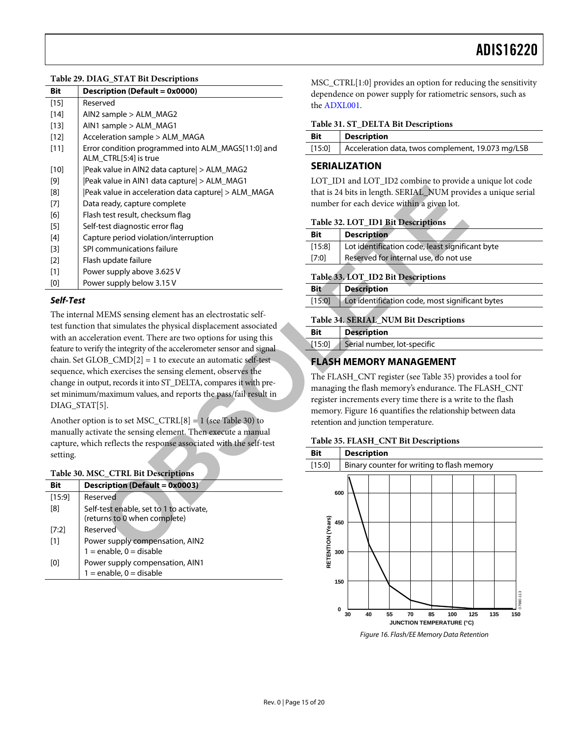#### <span id="page-14-5"></span>**Table 29. DIAG\_STAT Bit Descriptions**

| <b>Bit</b>                                                                                                                                                                            | <b>Description (Default = 0x0000)</b>                                       |                                                                                         | $1000$ $ 01100$ $100$ $1000$ $1000$ $1000$ $1000$<br>dependence on power supply for ratiometric |  |
|---------------------------------------------------------------------------------------------------------------------------------------------------------------------------------------|-----------------------------------------------------------------------------|-----------------------------------------------------------------------------------------|-------------------------------------------------------------------------------------------------|--|
| $[15]$                                                                                                                                                                                | Reserved                                                                    | the ADXL001.                                                                            |                                                                                                 |  |
| $[14]$                                                                                                                                                                                | AIN2 sample > ALM_MAG2                                                      |                                                                                         |                                                                                                 |  |
| $[13]$                                                                                                                                                                                | AIN1 sample > ALM_MAG1                                                      |                                                                                         | Table 31. ST_DELTA Bit Descriptions                                                             |  |
| $[12]$                                                                                                                                                                                | Acceleration sample > ALM_MAGA                                              | Bit                                                                                     | <b>Description</b>                                                                              |  |
| $[11]$                                                                                                                                                                                | Error condition programmed into ALM_MAGS[11:0] and<br>ALM_CTRL[5:4] is true | [15:0]                                                                                  | Acceleration data, twos complemen                                                               |  |
| $[10]$                                                                                                                                                                                | Peak value in AIN2 data capture  > ALM_MAG2                                 |                                                                                         | <b>SERIALIZATION</b>                                                                            |  |
| $[9]$                                                                                                                                                                                 | Peak value in AIN1 data capture  > ALM_MAG1                                 |                                                                                         | LOT_ID1 and LOT_ID2 combine to provide                                                          |  |
| [8]                                                                                                                                                                                   | Peak value in acceleration data capture  > ALM_MAGA                         |                                                                                         | that is 24 bits in length. SERIAL_NUM provi                                                     |  |
| $[7]$                                                                                                                                                                                 | Data ready, capture complete                                                |                                                                                         | number for each device within a given lot.                                                      |  |
| $[6] % \begin{center} \includegraphics[width=\linewidth]{imagesSupplemental/Imit} \caption{The image shows the image shows a single number of times.} \label{fig:limal} \end{center}$ | Flash test result, checksum flag                                            |                                                                                         |                                                                                                 |  |
| $[5]$                                                                                                                                                                                 | Self-test diagnostic error flag                                             |                                                                                         | Table 32. LOT_ID1 Bit Descriptions                                                              |  |
| $[4]$                                                                                                                                                                                 | Capture period violation/interruption                                       | Bit                                                                                     | <b>Description</b>                                                                              |  |
| $[3]$                                                                                                                                                                                 | SPI communications failure                                                  | [15:8]                                                                                  | Lot identification code, least signific                                                         |  |
| $[2]$                                                                                                                                                                                 | Flash update failure                                                        | $[7:0]$                                                                                 | Reserved for internal use, do not use                                                           |  |
| $[1]$                                                                                                                                                                                 | Power supply above 3.625 V                                                  |                                                                                         | Table 33, LOT_ID2 Bit Descriptions                                                              |  |
| [0]                                                                                                                                                                                   | Power supply below 3.15 V                                                   | Bit                                                                                     | <b>Description</b>                                                                              |  |
| Self-Test                                                                                                                                                                             |                                                                             | [15:0]                                                                                  | Lot identification code, most signific                                                          |  |
|                                                                                                                                                                                       |                                                                             |                                                                                         |                                                                                                 |  |
|                                                                                                                                                                                       | The internal MEMS sensing element has an electrostatic self-                |                                                                                         | Table 34. SERIAL_NUM Bit Descriptions                                                           |  |
| test function that simulates the physical displacement associated<br>with an acceleration event. There are two options for using this                                                 |                                                                             | Bit                                                                                     | <b>Description</b>                                                                              |  |
|                                                                                                                                                                                       | feature to verify the integrity of the accelerometer sensor and signal      | [15:0]                                                                                  | Serial number, lot-specific                                                                     |  |
|                                                                                                                                                                                       | chain. Set $GLOB\_CMD[2] = 1$ to execute an automatic self-test             |                                                                                         | <b>FLASH MEMORY MANAGEMENT</b>                                                                  |  |
|                                                                                                                                                                                       | sequence, which exercises the sensing element, observes the                 |                                                                                         |                                                                                                 |  |
|                                                                                                                                                                                       | change in output, records it into ST_DELTA, compares it with pre-           | The FLASH_CNT register (see Table 35) pro<br>managing the flash memory's endurance. The |                                                                                                 |  |
|                                                                                                                                                                                       | set minimum/maximum values, and reports the pass/fail result in             | register increments every time there is a write                                         |                                                                                                 |  |
|                                                                                                                                                                                       | DIAG_STAT[5].                                                               | memory. Figure 16 quantifies the relationship                                           |                                                                                                 |  |
|                                                                                                                                                                                       | Another option is to set MSC_CTRL[8] = $1$ (see Table 30) to                | retention and junction temperature.                                                     |                                                                                                 |  |
|                                                                                                                                                                                       | manually activate the sensing element. Then execute a manual                |                                                                                         |                                                                                                 |  |
|                                                                                                                                                                                       | capture, which reflects the response associated with the self-test          |                                                                                         | Table 35. FLASH_CNT Bit Descriptions                                                            |  |
| setting.                                                                                                                                                                              |                                                                             | <b>Bit</b>                                                                              | <b>Description</b>                                                                              |  |
|                                                                                                                                                                                       |                                                                             | $[15:0]$                                                                                | Binary counter for writing to flash m                                                           |  |
|                                                                                                                                                                                       | Table 30. MSC_CTRL Bit Descriptions                                         |                                                                                         |                                                                                                 |  |
| Bit                                                                                                                                                                                   | <b>Description (Default = 0x0003)</b><br>Reserved                           |                                                                                         | 600                                                                                             |  |
| [15:9]<br>[8]                                                                                                                                                                         | Self-test enable, set to 1 to activate,                                     |                                                                                         |                                                                                                 |  |
|                                                                                                                                                                                       | (returns to 0 when complete)                                                |                                                                                         |                                                                                                 |  |
| [7:2]                                                                                                                                                                                 | Reserved                                                                    | <b>INTION (Years)</b>                                                                   | 450                                                                                             |  |
| $[1]$                                                                                                                                                                                 | Power supply compensation, AIN2                                             |                                                                                         |                                                                                                 |  |
|                                                                                                                                                                                       | $1 =$ enable, $0 =$ disable                                                 |                                                                                         | 300                                                                                             |  |

#### **Self-Test**

#### <span id="page-14-4"></span>**Table 30. MSC\_CTRL Bit Descriptions**

| Bit     | <b>Description (Default = <math>0x0003</math>)</b> |
|---------|----------------------------------------------------|
| [15:9]  | Reserved                                           |
| [8]     | Self-test enable, set to 1 to activate,            |
|         | (returns to 0 when complete)                       |
| $[7:2]$ | Reserved                                           |
| $[1]$   | Power supply compensation, AIN2                    |
|         | $1 =$ enable, $0 =$ disable                        |
| [0]     | Power supply compensation, AIN1                    |
|         | $1 =$ enable, $0 =$ disable                        |

MSC\_CTRL[1:0] provides an option for reducing the sensitivity dependence on power supply for ratiometric sensors, such as the [ADXL001.](http://www.analog.com/adxl001) 

#### <span id="page-14-6"></span>**Table 31. ST\_DELTA Bit Descriptions**

| Bit    | <b>Description</b>                                |
|--------|---------------------------------------------------|
| [15:0] | Acceleration data, twos complement, 19.073 mg/LSB |

#### <span id="page-14-0"></span>**SERIALIZATION**

LOT\_ID1 and LOT\_ID2 combine to provide a unique lot code that is 24 bits in length. SERIAL\_NUM provides a unique serial number for each device within a given lot.

#### <span id="page-14-7"></span>**Table 32. LOT\_ID1 Bit Descriptions**

<span id="page-14-8"></span>

| Bit                                | <b>Description</b>                              |  |  |  |
|------------------------------------|-------------------------------------------------|--|--|--|
| $[15:8]$                           | Lot identification code, least significant byte |  |  |  |
| [7:0]                              | Reserved for internal use, do not use           |  |  |  |
| Table 33. LOT_ID2 Bit Descriptions |                                                 |  |  |  |
| <b>Bit</b>                         | <b>Description</b>                              |  |  |  |
| [15:0]                             | Lot identification code, most significant bytes |  |  |  |

#### <span id="page-14-9"></span>**Table 34. SERIAL\_NUM Bit Descriptions**

| <b>Rit</b> | <b>Description</b>          |
|------------|-----------------------------|
| [15:0]     | Serial number, lot-specific |

### <span id="page-14-1"></span>**FLASH MEMORY MANAGEMENT**

The FLASH\_CNT register (see Table 35) provides a tool for managing the flash memory's endurance. The FLASH\_CNT register increments every time there is a write to the flash memory. Figure 16 quantifies the relationship between data retention and junction temperature.

#### <span id="page-14-3"></span>**Table 35. FLASH\_CNT Bit Descriptions**



<span id="page-14-2"></span>Figure 16. Flash/EE Memory Data Retention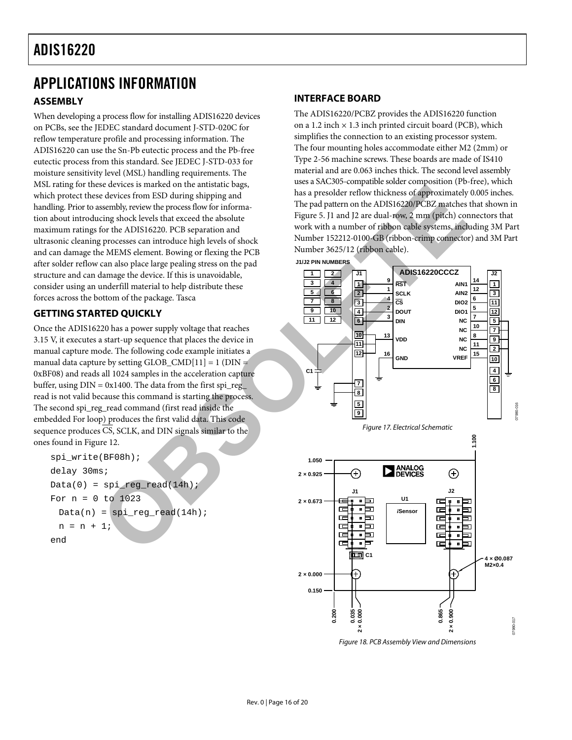## <span id="page-15-1"></span><span id="page-15-0"></span>APPLICATIONS INFORMATION **ASSEMBLY**

When developing a process flow for installing ADIS16220 devices on PCBs, see the JEDEC standard document J-STD-020C for reflow temperature profile and processing information. The ADIS16220 can use the Sn-Pb eutectic process and the Pb-free eutectic process from this standard. See JEDEC J-STD-033 for moisture sensitivity level (MSL) handling requirements. The MSL rating for these devices is marked on the antistatic bags, which protect these devices from ESD during shipping and handling. Prior to assembly, review the process flow for information about introducing shock levels that exceed the absolute maximum ratings for the ADIS16220. PCB separation and ultrasonic cleaning processes can introduce high levels of shock and can damage the MEMS element. Bowing or flexing the PCB after solder reflow can also place large pealing stress on the pad structure and can damage the device. If this is unavoidable, consider using an underfill material to help distribute these forces across the bottom of the package. Tasca

## <span id="page-15-2"></span>**GETTING STARTED QUICKLY**

Once the ADIS16220 has a power supply voltage that reaches 3.15 V, it executes a start-up sequence that places the device in manual capture mode. The following code example initiates a manual data capture by setting GLOB  $\text{CMD}[11] = 1 \text{ (DIN)} =$ 0xBF08) and reads all 1024 samples in the acceleration capture buffer, using  $DIN = 0x1400$ . The data from the first spi\_reg\_ read is not valid because this command is starting the process. The second spi\_reg\_read command (first read inside the embedded For loop) produces the first valid data. This code sequence produces CS, SCLK, and DIN signals similar to the ones found i[n Figure 12.](#page-8-1)

```
spi_write(BF08h); 
delay 30ms; 
Data(0) = spireq read(14h);For n = 0 to 1023 
 Data(n) = spi_reg\_read(14h);n = n + 1;end
```
### <span id="page-15-3"></span>**INTERFACE BOARD**

The ADIS16220/PCBZ provides the ADIS16220 function on a 1.2 inch  $\times$  1.3 inch printed circuit board (PCB), which simplifies the connection to an existing processor system. The four mounting holes accommodate either M2 (2mm) or Type 2-56 machine screws. These boards are made of IS410 material and are 0.063 inches thick. The second level assembly uses a SAC305-compatible solder composition (Pb-free), which has a presolder reflow thickness of approximately 0.005 inches. The pad pattern on the ADIS16220/PCBZ matches that shown in Figure 5. J1 and J2 are dual-row, 2 mm (pitch) connectors that work with a number of ribbon cable systems, including 3M Part Number 152212-0100-GB (ribbon-crimp connector) and 3M Part Number 3625/12 (ribbon cable).



Figure 18. PCB Assembly View and Dimensions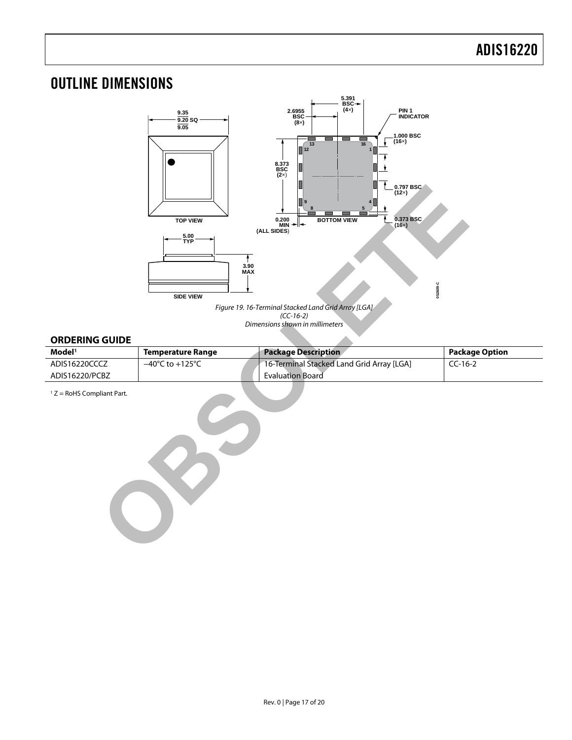## <span id="page-16-0"></span>OUTLINE DIMENSIONS



Figure 19. 16-Terminal Stacked Land Grid Array [LGA] (CC-16-2) Dimensions shown in millimeters

### <span id="page-16-1"></span>**ORDERING GUIDE**

| Model <sup>1</sup>           | <b>Temperature Range</b>            | <b>Package Description</b>                | <b>Package Option</b> |  |
|------------------------------|-------------------------------------|-------------------------------------------|-----------------------|--|
| ADIS16220CCCZ                | $-40^{\circ}$ C to $+125^{\circ}$ C | 16-Terminal Stacked Land Grid Array [LGA] | $CC-16-2$             |  |
| ADIS16220/PCBZ               |                                     | <b>Evaluation Board</b>                   |                       |  |
| $1 Z =$ RoHS Compliant Part. |                                     |                                           |                       |  |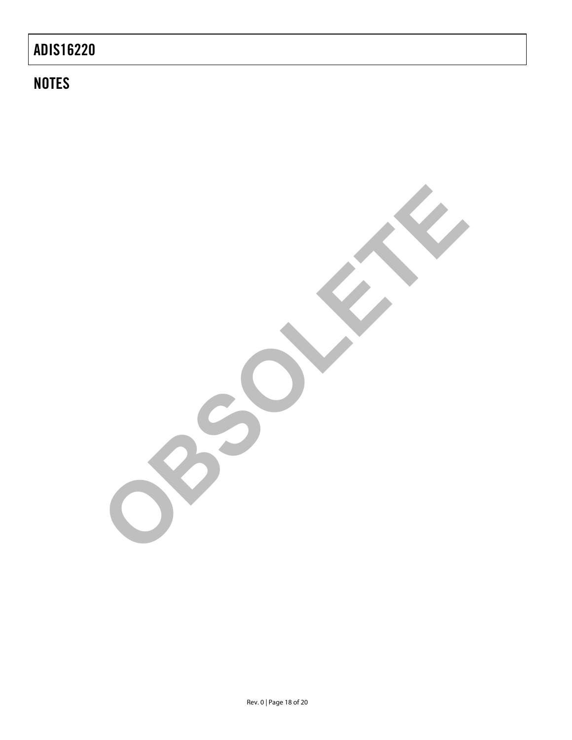## **NOTES**

**OBSOLETE**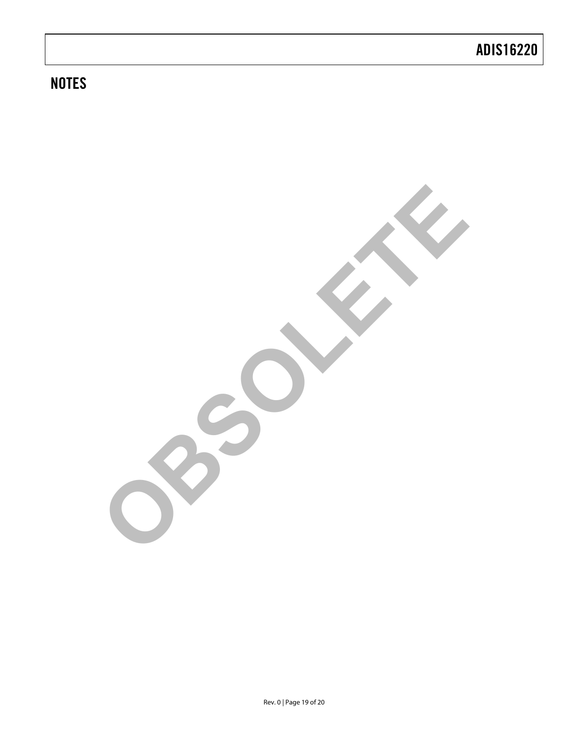## **NOTES**

**OBSOLETE**